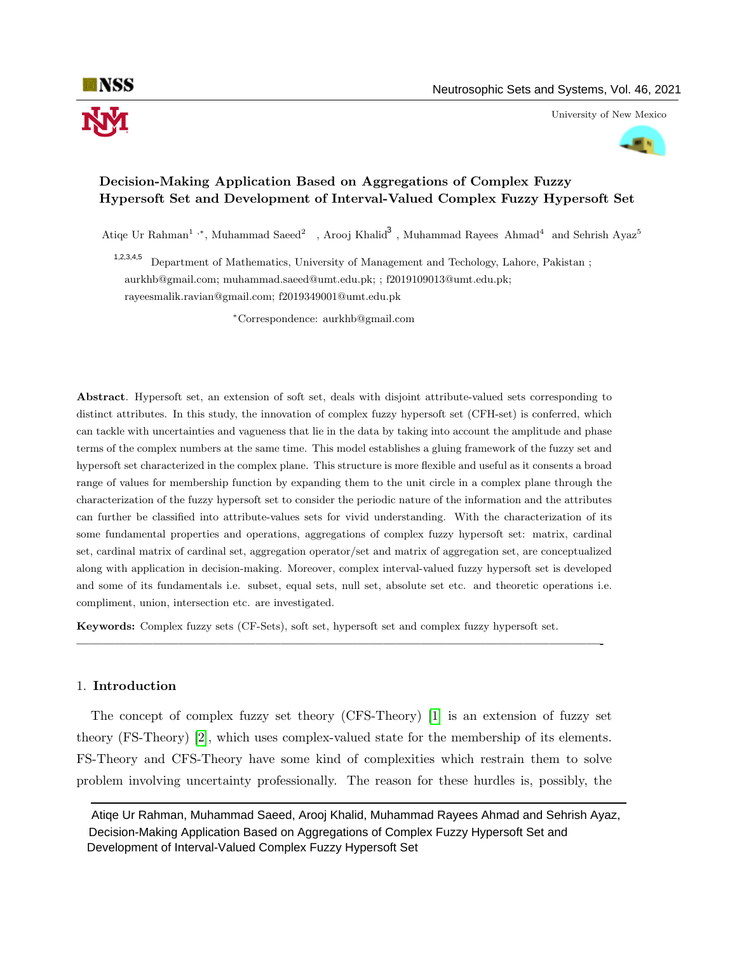University of New Mexico



# Decision-Making Application Based on Aggregations of Complex Fuzzy Hypersoft Set and Development of Interval-Valued Complex Fuzzy Hypersoft Set

Atiqe Ur Rahman<sup>1</sup>,<sup>\*</sup>, Muhammad Saeed<sup>2</sup>, Arooj Khalid<sup>3</sup>, Muhammad Rayees Ahmad<sup>4</sup> and Sehrish Ayaz<sup>5</sup>

Department of Mathematics, University of Management and Techology, Lahore, Pakistan ; aurkhb@gmail.com; muhammad.saeed@umt.edu.pk; ; f2019109013@umt.edu.pk; rayeesmalik.ravian@gmail.com; f2019349001@umt.edu.pk 1,2,3,4,5

<sup>∗</sup>Correspondence: aurkhb@gmail.com

Abstract. Hypersoft set, an extension of soft set, deals with disjoint attribute-valued sets corresponding to distinct attributes. In this study, the innovation of complex fuzzy hypersoft set (CFH-set) is conferred, which can tackle with uncertainties and vagueness that lie in the data by taking into account the amplitude and phase terms of the complex numbers at the same time. This model establishes a gluing framework of the fuzzy set and hypersoft set characterized in the complex plane. This structure is more flexible and useful as it consents a broad range of values for membership function by expanding them to the unit circle in a complex plane through the characterization of the fuzzy hypersoft set to consider the periodic nature of the information and the attributes can further be classified into attribute-values sets for vivid understanding. With the characterization of its some fundamental properties and operations, aggregations of complex fuzzy hypersoft set: matrix, cardinal set, cardinal matrix of cardinal set, aggregation operator/set and matrix of aggregation set, are conceptualized along with application in decision-making. Moreover, complex interval-valued fuzzy hypersoft set is developed and some of its fundamentals i.e. subset, equal sets, null set, absolute set etc. and theoretic operations i.e. compliment, union, intersection etc. are investigated.

Keywords: Complex fuzzy sets (CF-Sets), soft set, hypersoft set and complex fuzzy hypersoft set.

#### 1. Introduction

The concept of complex fuzzy set theory (CFS-Theory) [\[1\]](#page-15-0) is an extension of fuzzy set theory (FS-Theory) [\[2\]](#page-15-1), which uses complex-valued state for the membership of its elements. FS-Theory and CFS-Theory have some kind of complexities which restrain them to solve problem involving uncertainty professionally. The reason for these hurdles is, possibly, the

—————————————————————————————————————————-

Atiqe Ur Rahman, Muhammad Saeed, Arooj Khalid, Muhammad Rayees Ahmad and Sehrish Ayaz, Decision-Making Application Based on Aggregations of Complex Fuzzy Hypersoft Set and Development of Interval-Valued Complex Fuzzy Hypersoft Set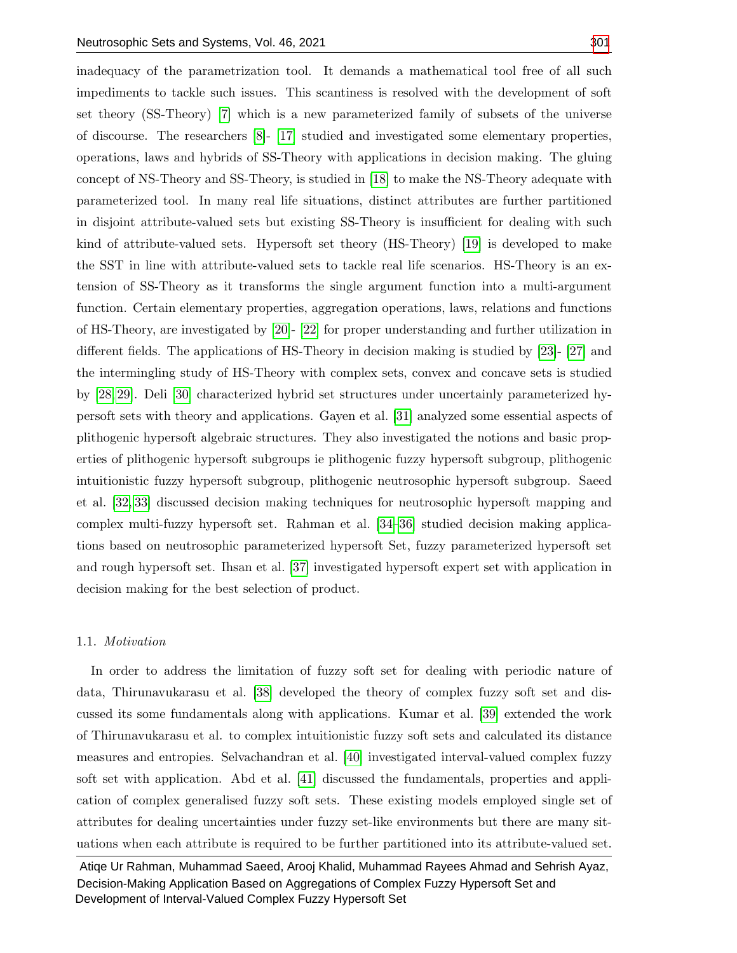inadequacy of the parametrization tool. It demands a mathematical tool free of all such impediments to tackle such issues. This scantiness is resolved with the development of soft set theory (SS-Theory) [\[7\]](#page-16-0) which is a new parameterized family of subsets of the universe of discourse. The researchers [\[8\]](#page-16-1)- [\[17\]](#page-16-2) studied and investigated some elementary properties, operations, laws and hybrids of SS-Theory with applications in decision making. The gluing concept of NS-Theory and SS-Theory, is studied in [\[18\]](#page-16-3) to make the NS-Theory adequate with parameterized tool. In many real life situations, distinct attributes are further partitioned in disjoint attribute-valued sets but existing SS-Theory is insufficient for dealing with such kind of attribute-valued sets. Hypersoft set theory (HS-Theory) [\[19\]](#page-16-4) is developed to make the SST in line with attribute-valued sets to tackle real life scenarios. HS-Theory is an extension of SS-Theory as it transforms the single argument function into a multi-argument function. Certain elementary properties, aggregation operations, laws, relations and functions of HS-Theory, are investigated by [\[20\]](#page-16-5)- [\[22\]](#page-16-6) for proper understanding and further utilization in different fields. The applications of HS-Theory in decision making is studied by [\[23\]](#page-16-7)- [\[27\]](#page-16-8) and the intermingling study of HS-Theory with complex sets, convex and concave sets is studied by [\[28,](#page-17-1) [29\]](#page-17-2). Deli [\[30\]](#page-17-3) characterized hybrid set structures under uncertainly parameterized hypersoft sets with theory and applications. Gayen et al. [\[31\]](#page-17-4) analyzed some essential aspects of plithogenic hypersoft algebraic structures. They also investigated the notions and basic properties of plithogenic hypersoft subgroups ie plithogenic fuzzy hypersoft subgroup, plithogenic intuitionistic fuzzy hypersoft subgroup, plithogenic neutrosophic hypersoft subgroup. Saeed et al. [\[32,](#page-17-5) [33\]](#page-17-6) discussed decision making techniques for neutrosophic hypersoft mapping and complex multi-fuzzy hypersoft set. Rahman et al. [\[34–](#page-17-7)[36\]](#page-17-8) studied decision making applications based on neutrosophic parameterized hypersoft Set, fuzzy parameterized hypersoft set and rough hypersoft set. Ihsan et al. [\[37\]](#page-17-9) investigated hypersoft expert set with application in decision making for the best selection of product.

#### 1.1. Motivation

In order to address the limitation of fuzzy soft set for dealing with periodic nature of data, Thirunavukarasu et al. [\[38\]](#page-17-10) developed the theory of complex fuzzy soft set and discussed its some fundamentals along with applications. Kumar et al. [\[39\]](#page-17-11) extended the work of Thirunavukarasu et al. to complex intuitionistic fuzzy soft sets and calculated its distance measures and entropies. Selvachandran et al. [\[40\]](#page-17-12) investigated interval-valued complex fuzzy soft set with application. Abd et al. [\[41\]](#page-17-13) discussed the fundamentals, properties and application of complex generalised fuzzy soft sets. These existing models employed single set of attributes for dealing uncertainties under fuzzy set-like environments but there are many situations when each attribute is required to be further partitioned into its attribute-valued set.

Atiqe Ur Rahman, Muhammad Saeed, Arooj Khalid, Muhammad Rayees Ahmad and Sehrish Ayaz, Decision-Making Application Based on Aggregations of Complex Fuzzy Hypersoft Set and Development of Interval-Valued Complex Fuzzy Hypersoft Set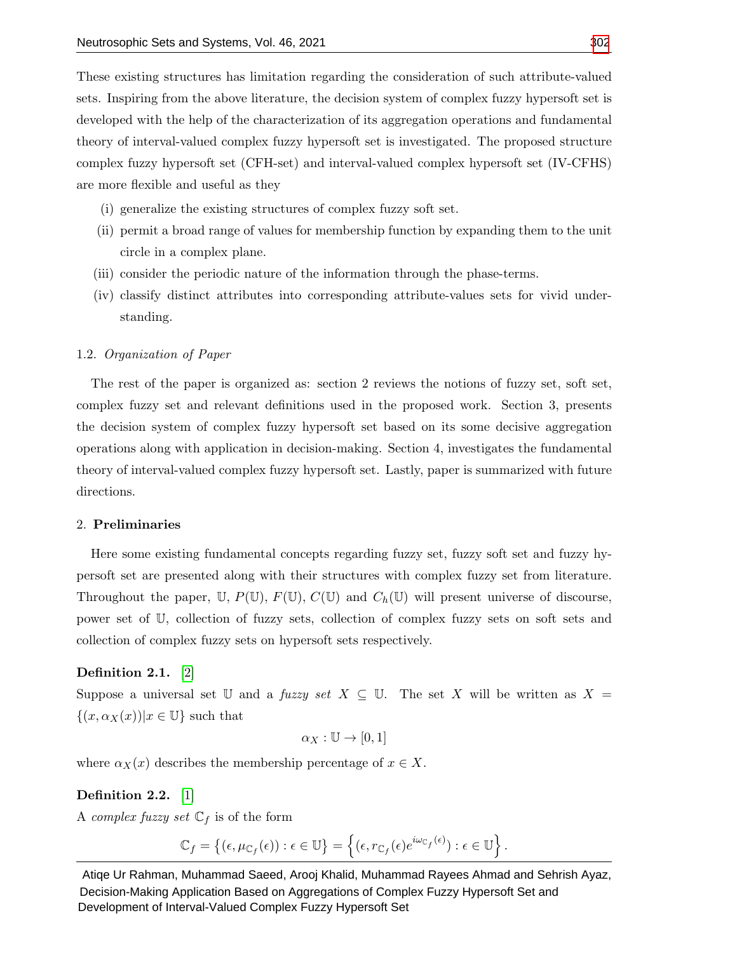These existing structures has limitation regarding the consideration of such attribute-valued sets. Inspiring from the above literature, the decision system of complex fuzzy hypersoft set is developed with the help of the characterization of its aggregation operations and fundamental theory of interval-valued complex fuzzy hypersoft set is investigated. The proposed structure complex fuzzy hypersoft set (CFH-set) and interval-valued complex hypersoft set (IV-CFHS) are more flexible and useful as they

- (i) generalize the existing structures of complex fuzzy soft set.
- (ii) permit a broad range of values for membership function by expanding them to the unit circle in a complex plane.
- (iii) consider the periodic nature of the information through the phase-terms.
- (iv) classify distinct attributes into corresponding attribute-values sets for vivid understanding.

#### 1.2. Organization of Paper

The rest of the paper is organized as: section 2 reviews the notions of fuzzy set, soft set, complex fuzzy set and relevant definitions used in the proposed work. Section 3, presents the decision system of complex fuzzy hypersoft set based on its some decisive aggregation operations along with application in decision-making. Section 4, investigates the fundamental theory of interval-valued complex fuzzy hypersoft set. Lastly, paper is summarized with future directions.

# 2. Preliminaries

Here some existing fundamental concepts regarding fuzzy set, fuzzy soft set and fuzzy hypersoft set are presented along with their structures with complex fuzzy set from literature. Throughout the paper, U,  $P(\mathbb{U}), F(\mathbb{U}), C(\mathbb{U})$  and  $C_h(\mathbb{U})$  will present universe of discourse, power set of U, collection of fuzzy sets, collection of complex fuzzy sets on soft sets and collection of complex fuzzy sets on hypersoft sets respectively.

#### Definition 2.1. [\[2\]](#page-15-1)

Suppose a universal set U and a fuzzy set  $X \subseteq U$ . The set X will be written as  $X =$  $\{(x,\alpha_X(x))|x\in\mathbb{U}\}\$  such that

$$
\alpha_X : \mathbb{U} \to [0,1]
$$

where  $\alpha_X(x)$  describes the membership percentage of  $x \in X$ .

# Definition 2.2. [\[1\]](#page-15-0)

A *complex fuzzy set*  $\mathbb{C}_f$  is of the form

 $\mathbb{C}_f=\left\{(\epsilon,\mu_{\mathbb{C}_f}(\epsilon)):\epsilon\in\mathbb{U}\right\}=\left\{(\epsilon,r_{\mathbb{C}_f}(\epsilon)e^{i\omega_{\mathbb{C}_f}(\epsilon)}):\epsilon\in\mathbb{U}\right\}.$ 

Atiqe Ur Rahman, Muhammad Saeed, Arooj Khalid, Muhammad Rayees Ahmad and Sehrish Ayaz, Decision-Making Application Based on Aggregations of Complex Fuzzy Hypersoft Set and Development of Interval-Valued Complex Fuzzy Hypersoft Set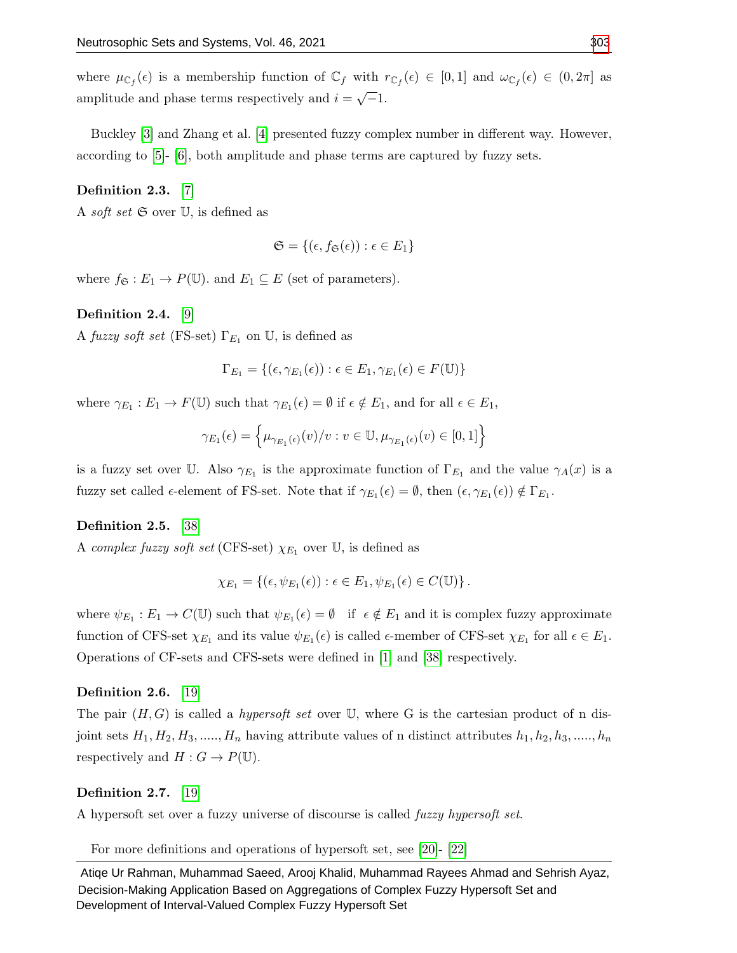where  $\mu_{\mathbb{C}_f}(\epsilon)$  is a membership function of  $\mathbb{C}_f$  with  $r_{\mathbb{C}_f}(\epsilon) \in [0,1]$  and  $\omega_{\mathbb{C}_f}(\epsilon) \in (0,2\pi]$  as amplitude and phase terms respectively and  $i =$ √  $\overline{-}1.$ 

Buckley [\[3\]](#page-15-2) and Zhang et al. [\[4\]](#page-15-3) presented fuzzy complex number in different way. However, according to [\[5\]](#page-16-9)- [\[6\]](#page-16-10), both amplitude and phase terms are captured by fuzzy sets.

# Definition 2.3. [\[7\]](#page-16-0)

A *soft set*  $\mathfrak{S}$  over  $\mathbb{U}$ , is defined as

$$
\mathfrak{S} = \{ (\epsilon, f_{\mathfrak{S}}(\epsilon)) : \epsilon \in E_1 \}
$$

where  $f_{\mathfrak{S}} : E_1 \to P(\mathbb{U})$  and  $E_1 \subseteq E$  (set of parameters).

#### Definition 2.4. [\[9\]](#page-16-11)

A fuzzy soft set (FS-set)  $\Gamma_{E_1}$  on U, is defined as

$$
\Gamma_{E_1} = \{ (\epsilon, \gamma_{E_1}(\epsilon)) : \epsilon \in E_1, \gamma_{E_1}(\epsilon) \in F(\mathbb{U}) \}
$$

where  $\gamma_{E_1}: E_1 \to F(\mathbb{U})$  such that  $\gamma_{E_1}(\epsilon) = \emptyset$  if  $\epsilon \notin E_1$ , and for all  $\epsilon \in E_1$ ,

$$
\gamma_{E_1}(\epsilon) = \left\{ \mu_{\gamma_{E_1}(\epsilon)}(v)/v : v \in \mathbb{U}, \mu_{\gamma_{E_1}(\epsilon)}(v) \in [0,1] \right\}
$$

is a fuzzy set over U. Also  $\gamma_{E_1}$  is the approximate function of  $\Gamma_{E_1}$  and the value  $\gamma_A(x)$  is a fuzzy set called  $\epsilon$ -element of FS-set. Note that if  $\gamma_{E_1}(\epsilon) = \emptyset$ , then  $(\epsilon, \gamma_{E_1}(\epsilon)) \notin \Gamma_{E_1}$ .

#### Definition 2.5. [\[38\]](#page-17-10)

A complex fuzzy soft set (CFS-set)  $\chi_{E_1}$  over U, is defined as

$$
\chi_{E_1} = \{ (\epsilon, \psi_{E_1}(\epsilon)) : \epsilon \in E_1, \psi_{E_1}(\epsilon) \in C(\mathbb{U}) \}.
$$

where  $\psi_{E_1}: E_1 \to C(\mathbb{U})$  such that  $\psi_{E_1}(\epsilon) = \emptyset$  if  $\epsilon \notin E_1$  and it is complex fuzzy approximate function of CFS-set  $\chi_{E_1}$  and its value  $\psi_{E_1}(\epsilon)$  is called  $\epsilon$ -member of CFS-set  $\chi_{E_1}$  for all  $\epsilon \in E_1$ . Operations of CF-sets and CFS-sets were defined in [\[1\]](#page-15-0) and [\[38\]](#page-17-10) respectively.

#### Definition 2.6. [\[19\]](#page-16-4)

The pair  $(H, G)$  is called a *hypersoft set* over U, where G is the cartesian product of n disjoint sets  $H_1, H_2, H_3, \ldots, H_n$  having attribute values of n distinct attributes  $h_1, h_2, h_3, \ldots, h_n$ respectively and  $H: G \to P(\mathbb{U})$ .

#### Definition 2.7. [\[19\]](#page-16-4)

A hypersoft set over a fuzzy universe of discourse is called fuzzy hypersoft set.

For more definitions and operations of hypersoft set, see [\[20\]](#page-16-5)- [\[22\]](#page-16-6)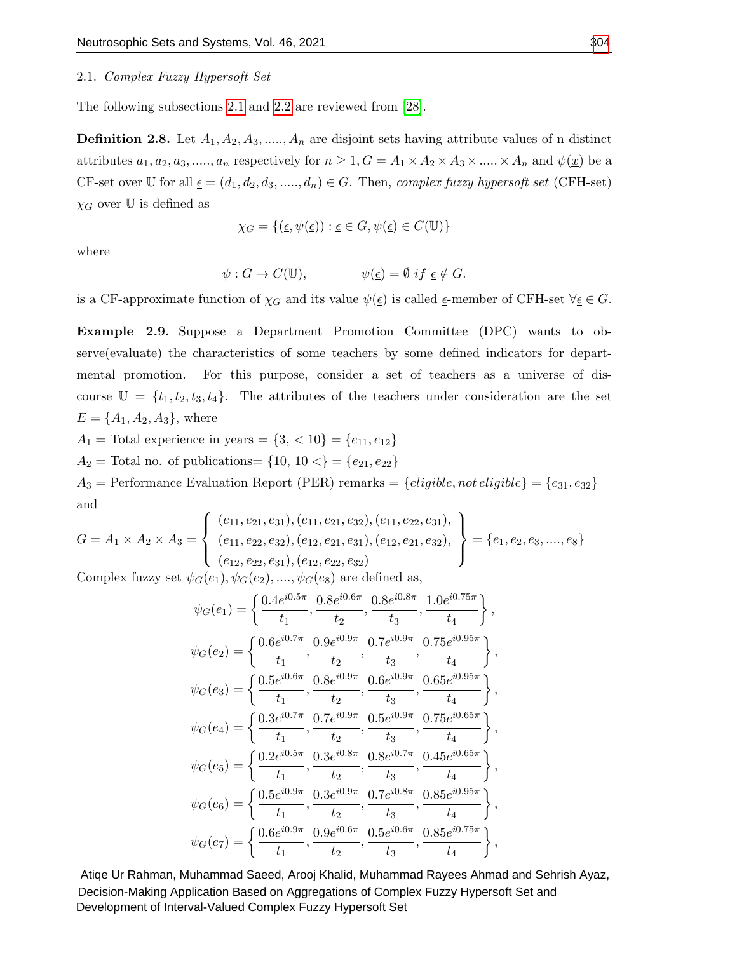#### <span id="page-4-0"></span>2.1. Complex Fuzzy Hypersoft Set

The following subsections [2.1](#page-4-0) and [2.2](#page-6-0) are reviewed from [\[28\]](#page-17-1).

<span id="page-4-1"></span>**Definition 2.8.** Let  $A_1, A_2, A_3, \ldots, A_n$  are disjoint sets having attribute values of n distinct attributes  $a_1, a_2, a_3, \dots, a_n$  respectively for  $n \geq 1, G = A_1 \times A_2 \times A_3 \times \dots \times A_n$  and  $\psi(\underline{x})$  be a CF-set over U for all  $\underline{\epsilon} = (d_1, d_2, d_3, \dots, d_n) \in G$ . Then, complex fuzzy hypersoft set (CFH-set)  $\chi_G$  over U is defined as

$$
\chi_G = \{ (\underline{\epsilon}, \psi(\underline{\epsilon})) : \underline{\epsilon} \in G, \psi(\underline{\epsilon}) \in C(\mathbb{U}) \}
$$

where

$$
\psi: G \to C(\mathbb{U}), \qquad \psi(\underline{\epsilon}) = \emptyset \text{ if } \underline{\epsilon} \notin G.
$$

is a CF-approximate function of  $\chi_G$  and its value  $\psi(\underline{\epsilon})$  is called  $\underline{\epsilon}$ -member of CFH-set  $\forall \underline{\epsilon} \in G$ .

<span id="page-4-2"></span>Example 2.9. Suppose a Department Promotion Committee (DPC) wants to observe(evaluate) the characteristics of some teachers by some defined indicators for departmental promotion. For this purpose, consider a set of teachers as a universe of discourse  $\mathbb{U} = \{t_1, t_2, t_3, t_4\}.$  The attributes of the teachers under consideration are the set  $E = \{A_1, A_2, A_3\}$ , where

A<sub>1</sub> = Total experience in years =  $\{3, <10\} = \{e_{11}, e_{12}\}\$ 

 $A_2$  = Total no. of publications= {10, 10 <} = { $e_{21}, e_{22}$ }

 $A_3$  = Performance Evaluation Report (PER) remarks = {*eligible*, not *eligible*} = { $e_{31}, e_{32}$ } and

$$
G = A_1 \times A_2 \times A_3 = \left\{ \begin{array}{l} (e_{11}, e_{21}, e_{31}), (e_{11}, e_{21}, e_{32}), (e_{11}, e_{22}, e_{31}), \\ (e_{11}, e_{22}, e_{32}), (e_{12}, e_{21}, e_{31}), (e_{12}, e_{21}, e_{32}), \\ (e_{12}, e_{22}, e_{31}), (e_{12}, e_{22}, e_{32}) \end{array} \right\} = \{e_1, e_2, e_3, \dots, e_8\}
$$

Complex fuzzy set  $\psi_G(e_1), \psi_G(e_2), \ldots, \psi_G(e_8)$  are defined as,

$$
\psi_{G}(e_{1}) = \left\{ \frac{0.4e^{i0.5\pi}}{t_{1}}, \frac{0.8e^{i0.6\pi}}{t_{2}}, \frac{0.8e^{i0.8\pi}}{t_{3}}, \frac{1.0e^{i0.75\pi}}{t_{4}} \right\},
$$
  

$$
\psi_{G}(e_{2}) = \left\{ \frac{0.6e^{i0.7\pi}}{t_{1}}, \frac{0.9e^{i0.9\pi}}{t_{2}}, \frac{0.7e^{i0.9\pi}}{t_{3}}, \frac{0.75e^{i0.95\pi}}{t_{4}} \right\},
$$
  

$$
\psi_{G}(e_{3}) = \left\{ \frac{0.5e^{i0.6\pi}}{t_{1}}, \frac{0.8e^{i0.9\pi}}{t_{2}}, \frac{0.6e^{i0.9\pi}}{t_{3}}, \frac{0.65e^{i0.95\pi}}{t_{4}} \right\},
$$
  

$$
\psi_{G}(e_{4}) = \left\{ \frac{0.3e^{i0.7\pi}}{t_{1}}, \frac{0.7e^{i0.9\pi}}{t_{2}}, \frac{0.5e^{i0.9\pi}}{t_{3}}, \frac{0.5e^{i0.65\pi}}{t_{4}} \right\},
$$
  

$$
\psi_{G}(e_{5}) = \left\{ \frac{0.2e^{i0.5\pi}}{t_{1}}, \frac{0.3e^{i0.8\pi}}{t_{2}}, \frac{0.8e^{i0.7\pi}}{t_{3}}, \frac{0.45e^{i0.65\pi}}{t_{4}} \right\},
$$
  

$$
\psi_{G}(e_{6}) = \left\{ \frac{0.5e^{i0.9\pi}}{t_{1}}, \frac{0.3e^{i0.9\pi}}{t_{2}}, \frac{0.7e^{i0.8\pi}}{t_{3}}, \frac{0.85e^{i0.95\pi}}{t_{4}} \right\},
$$
  

$$
\psi_{G}(e_{7}) = \left\{ \frac{0.6e^{i0.9\pi}}{t_{1}}, \frac{0.9e^{i0.6\pi}}{t_{2}}, \frac{0.5e^{i0.6\pi}}{t_{3}}, \frac{0.85e^{i0.95\pi}}{t_{4}} \right\},
$$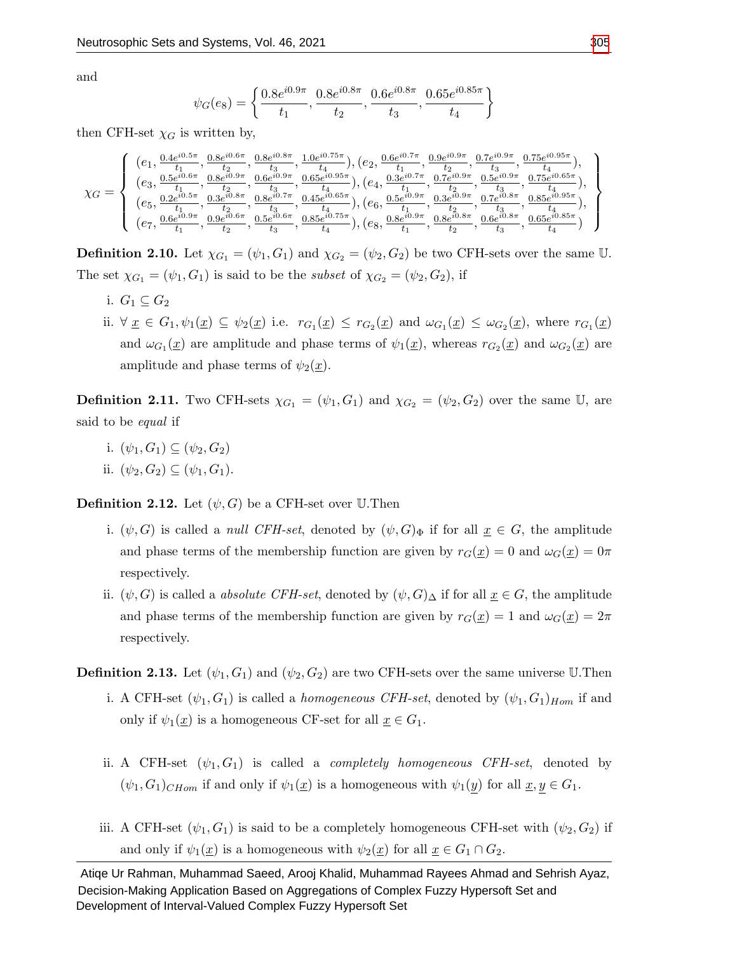and

$$
\psi_G(e_8) = \left\{ \frac{0.8e^{i0.9\pi}}{t_1}, \frac{0.8e^{i0.8\pi}}{t_2}, \frac{0.6e^{i0.8\pi}}{t_3}, \frac{0.65e^{i0.85\pi}}{t_4} \right\}
$$

then CFH-set  $\chi_G$  is written by,

$$
\chi_G=\left\{\begin{array}{l} (e_1,\frac{0.4e^{i0.5\pi}}{t_1},\frac{0.8e^{i0.6\pi}}{t_2},\frac{0.8e^{i0.8\pi}}{t_3},\frac{1.0e^{i0.75\pi}}{t_4}), (e_2,\frac{0.6e^{i0.7\pi}}{t_1},\frac{0.9e^{i0.9\pi}}{t_2},\frac{0.7e^{i0.9\pi}}{t_3},\frac{0.75e^{i0.95\pi}}{t_4}),\\ (e_3,\frac{0.5e^{i0.6\pi}}{t_1},\frac{0.8e^{i0.9\pi}}{t_2},\frac{0.6e^{i0.9\pi}}{t_3},\frac{0.65e^{i0.9\pi}}{t_4}), (e_4,\frac{0.3e^{i0.7\pi}}{t_1},\frac{0.7e^{i0.9\pi}}{t_2},\frac{0.5e^{i0.9\pi}}{t_3},\frac{0.75e^{i0.65\pi}}{t_4}),\\ (e_5,\frac{0.2e^{i0.5\pi}}{t_1},\frac{0.3e^{i0.8\pi}}{t_2},\frac{0.8e^{i0.7\pi}}{t_2},\frac{0.45e^{i0.65\pi}}{t_4}), (e_6,\frac{0.5e^{i0.9\pi}}{t_1},\frac{0.3e^{i0.9\pi}}{t_2},\frac{0.7e^{i0.9\pi}}{t_3},\frac{0.85e^{i0.9\pi}}{t_4}),\\ (e_7,\frac{0.6e^{i0.9\pi}}{t_1},\frac{0.9e^{i0.6\pi}}{t_2},\frac{0.5e^{i0.6\pi}}{t_3},\frac{0.85e^{i0.75\pi}}{t_4}), (e_8,\frac{0.8e^{i0.9\pi}}{t_1},\frac{0.8e^{i0.9\pi}}{t_2},\frac{0.6e^{i0.8\pi}}{t_3},\frac{0.65e^{i0.8\pi}}{t_4}) ),\\ (e_7,\frac{0.6e^{i0.9\pi}}{t_1},\frac{0.9e^{i0.6\pi}}{t_2},\frac{0.5e^{i0.6\pi
$$

**Definition 2.10.** Let  $\chi_{G_1} = (\psi_1, G_1)$  and  $\chi_{G_2} = (\psi_2, G_2)$  be two CFH-sets over the same U. The set  $\chi_{G_1} = (\psi_1, G_1)$  is said to be the *subset* of  $\chi_{G_2} = (\psi_2, G_2)$ , if

- i.  $G_1 \subset G_2$
- ii.  $\forall \underline{x} \in G_1, \psi_1(\underline{x}) \subseteq \psi_2(\underline{x})$  i.e.  $r_{G_1}(\underline{x}) \leq r_{G_2}(\underline{x})$  and  $\omega_{G_1}(\underline{x}) \leq \omega_{G_2}(\underline{x})$ , where  $r_{G_1}(\underline{x})$ and  $\omega_{G_1}(\underline{x})$  are amplitude and phase terms of  $\psi_1(\underline{x})$ , whereas  $r_{G_2}(\underline{x})$  and  $\omega_{G_2}(\underline{x})$  are amplitude and phase terms of  $\psi_2(\underline{x})$ .

**Definition 2.11.** Two CFH-sets  $\chi_{G_1} = (\psi_1, G_1)$  and  $\chi_{G_2} = (\psi_2, G_2)$  over the same U, are said to be *equal* if

- i.  $(\psi_1, G_1) \subseteq (\psi_2, G_2)$
- ii.  $(\psi_2, G_2) \subseteq (\psi_1, G_1)$ .

**Definition 2.12.** Let  $(\psi, G)$  be a CFH-set over U.Then

- i.  $(\psi, G)$  is called a *null CFH-set*, denoted by  $(\psi, G)_{\Phi}$  if for all  $\underline{x} \in G$ , the amplitude and phase terms of the membership function are given by  $r_G(\underline{x}) = 0$  and  $\omega_G(\underline{x}) = 0\pi$ respectively.
- ii.  $(\psi, G)$  is called a *absolute CFH-set*, denoted by  $(\psi, G)_{\Delta}$  if for all  $\underline{x} \in G$ , the amplitude and phase terms of the membership function are given by  $r_G(\underline{x}) = 1$  and  $\omega_G(\underline{x}) = 2\pi$ respectively.

**Definition 2.13.** Let  $(\psi_1, G_1)$  and  $(\psi_2, G_2)$  are two CFH-sets over the same universe U.Then

- i. A CFH-set  $(\psi_1, G_1)$  is called a *homogeneous CFH-set*, denoted by  $(\psi_1, G_1)_{Hom}$  if and only if  $\psi_1(\underline{x})$  is a homogeneous CF-set for all  $\underline{x} \in G_1$ .
- ii. A CFH-set  $(\psi_1, G_1)$  is called a *completely homogeneous CFH-set*, denoted by  $(\psi_1, G_1)_{CHom}$  if and only if  $\psi_1(\underline{x})$  is a homogeneous with  $\psi_1(\underline{y})$  for all  $\underline{x}, \underline{y} \in G_1$ .
- iii. A CFH-set  $(\psi_1, G_1)$  is said to be a completely homogeneous CFH-set with  $(\psi_2, G_2)$  if and only if  $\psi_1(\underline{x})$  is a homogeneous with  $\psi_2(\underline{x})$  for all  $\underline{x} \in G_1 \cap G_2$ .

Atiqe Ur Rahman, Muhammad Saeed, Arooj Khalid, Muhammad Rayees Ahmad and Sehrish Ayaz, Decision-Making Application Based on Aggregations of Complex Fuzzy Hypersoft Set and Development of Interval-Valued Complex Fuzzy Hypersoft Set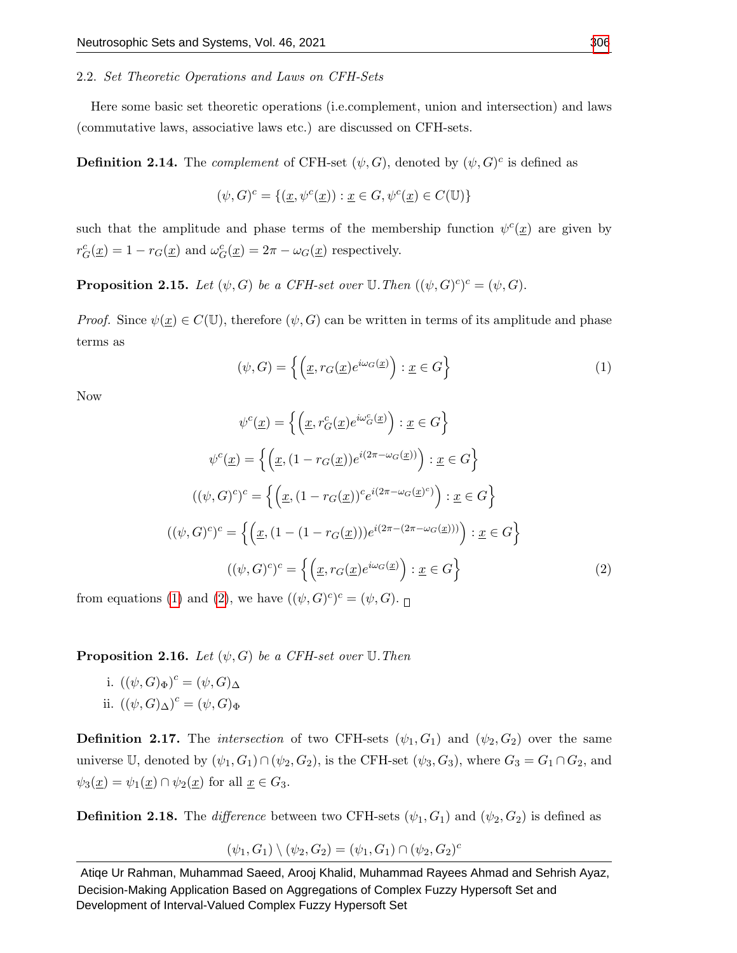#### <span id="page-6-0"></span>2.2. Set Theoretic Operations and Laws on CFH-Sets

Here some basic set theoretic operations (i.e.complement, union and intersection) and laws (commutative laws, associative laws etc.) are discussed on CFH-sets.

**Definition 2.14.** The *complement* of CFH-set  $(\psi, G)$ , denoted by  $(\psi, G)^c$  is defined as

$$
(\psi, G)^c = \{ (\underline{x}, \psi^c(\underline{x})) : \underline{x} \in G, \psi^c(\underline{x}) \in C(\mathbb{U}) \}
$$

such that the amplitude and phase terms of the membership function  $\psi^c(\underline{x})$  are given by  $r_G^c(\underline{x}) = 1 - r_G(\underline{x})$  and  $\omega_G^c(\underline{x}) = 2\pi - \omega_G(\underline{x})$  respectively.

**Proposition 2.15.** Let  $(\psi, G)$  be a CFH-set over  $\mathbb{U}$ . Then  $((\psi, G)^c)^c = (\psi, G)$ .

*Proof.* Since  $\psi(\underline{x}) \in C(\mathbb{U})$ , therefore  $(\psi, G)$  can be written in terms of its amplitude and phase terms as

<span id="page-6-1"></span>
$$
(\psi, G) = \left\{ \left( \underline{x}, r_G(\underline{x}) e^{i\omega_G(\underline{x})} \right) : \underline{x} \in G \right\}
$$
 (1)

Now

<span id="page-6-2"></span>
$$
\psi^{c}(\underline{x}) = \left\{ \left( \underline{x}, r_{G}^{c}(\underline{x})e^{i\omega_{G}^{c}(\underline{x})} \right) : \underline{x} \in G \right\}
$$

$$
\psi^{c}(\underline{x}) = \left\{ \left( \underline{x}, (1 - r_{G}(\underline{x}))e^{i(2\pi - \omega_{G}(\underline{x}))} \right) : \underline{x} \in G \right\}
$$

$$
((\psi, G)^{c})^{c} = \left\{ \left( \underline{x}, (1 - r_{G}(\underline{x}))^{c}e^{i(2\pi - \omega_{G}(\underline{x})^{c})} \right) : \underline{x} \in G \right\}
$$

$$
((\psi, G)^{c})^{c} = \left\{ \left( \underline{x}, (1 - (1 - r_{G}(\underline{x})))e^{i(2\pi - (2\pi - \omega_{G}(\underline{x})))} \right) : \underline{x} \in G \right\}
$$

$$
((\psi, G)^{c})^{c} = \left\{ \left( \underline{x}, r_{G}(\underline{x})e^{i\omega_{G}(\underline{x})} \right) : \underline{x} \in G \right\}
$$

$$
(2)
$$

from equations [\(1\)](#page-6-1) and [\(2\)](#page-6-2), we have  $((\psi, G)^c)^c = (\psi, G)$ .

**Proposition 2.16.** Let  $(\psi, G)$  be a CFH-set over U. Then

i.  $((\psi, G)_{\Phi})^c = (\psi, G)_{\Delta}$ ii.  $((\psi, G)_{\Delta})^c = (\psi, G)_{\Phi}$ 

**Definition 2.17.** The *intersection* of two CFH-sets  $(\psi_1, G_1)$  and  $(\psi_2, G_2)$  over the same universe U, denoted by  $(\psi_1, G_1) \cap (\psi_2, G_2)$ , is the CFH-set  $(\psi_3, G_3)$ , where  $G_3 = G_1 \cap G_2$ , and  $\psi_3(\underline{x}) = \psi_1(\underline{x}) \cap \psi_2(\underline{x})$  for all  $\underline{x} \in G_3$ .

**Definition 2.18.** The difference between two CFH-sets  $(\psi_1, G_1)$  and  $(\psi_2, G_2)$  is defined as

$$
(\psi_1, G_1) \setminus (\psi_2, G_2) = (\psi_1, G_1) \cap (\psi_2, G_2)^c
$$

Atiqe Ur Rahman, Muhammad Saeed, Arooj Khalid, Muhammad Rayees Ahmad and Sehrish Ayaz, Decision-Making Application Based on Aggregations of Complex Fuzzy Hypersoft Set and Development of Interval-Valued Complex Fuzzy Hypersoft Set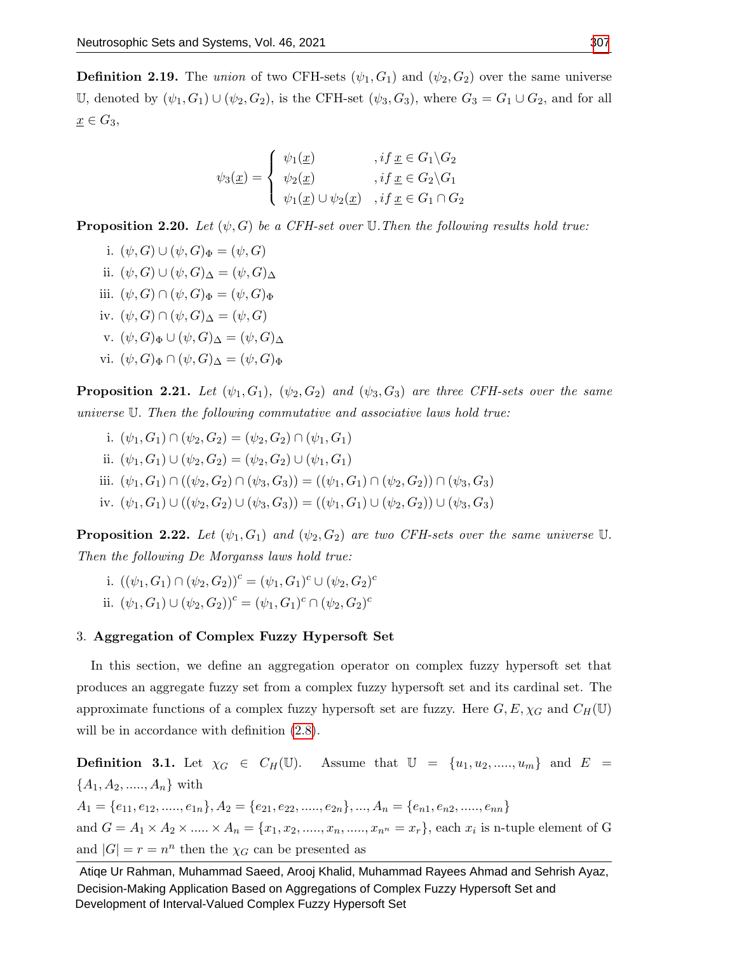**Definition 2.19.** The union of two CFH-sets  $(\psi_1, G_1)$  and  $(\psi_2, G_2)$  over the same universe U, denoted by  $(\psi_1, G_1) \cup (\psi_2, G_2)$ , is the CFH-set  $(\psi_3, G_3)$ , where  $G_3 = G_1 \cup G_2$ , and for all  $\underline{x} \in G_3$ ,

$$
\psi_3(\underline{x}) = \begin{cases} \psi_1(\underline{x}) & , if \,\underline{x} \in G_1 \backslash G_2 \\ \psi_2(\underline{x}) & , if \,\underline{x} \in G_2 \backslash G_1 \\ \psi_1(\underline{x}) \cup \psi_2(\underline{x}) & , if \,\underline{x} \in G_1 \cap G_2 \end{cases}
$$

**Proposition 2.20.** Let  $(\psi, G)$  be a CFH-set over U. Then the following results hold true:

i.  $(\psi, G) \cup (\psi, G)_{\Phi} = (\psi, G)$ ii.  $(\psi, G) \cup (\psi, G) \wedge = (\psi, G) \wedge$ iii.  $(\psi, G) \cap (\psi, G)_{\Phi} = (\psi, G)_{\Phi}$ iv.  $(\psi, G) \cap (\psi, G)_{\Delta} = (\psi, G)$ v.  $(\psi, G)_{\Phi} \cup (\psi, G)_{\Delta} = (\psi, G)_{\Delta}$ vi.  $(\psi, G)_{\Phi} \cap (\psi, G)_{\Delta} = (\psi, G)_{\Phi}$ 

**Proposition 2.21.** Let  $(\psi_1, G_1)$ ,  $(\psi_2, G_2)$  and  $(\psi_3, G_3)$  are three CFH-sets over the same universe U. Then the following commutative and associative laws hold true:

i.  $(\psi_1, G_1) \cap (\psi_2, G_2) = (\psi_2, G_2) \cap (\psi_1, G_1)$ ii.  $(\psi_1, G_1) \cup (\psi_2, G_2) = (\psi_2, G_2) \cup (\psi_1, G_1)$ iii.  $(\psi_1, G_1) \cap ((\psi_2, G_2) \cap (\psi_3, G_3)) = ((\psi_1, G_1) \cap (\psi_2, G_2)) \cap (\psi_3, G_3)$ iv.  $(\psi_1, G_1) \cup ((\psi_2, G_2) \cup (\psi_3, G_3)) = ((\psi_1, G_1) \cup (\psi_2, G_2)) \cup (\psi_3, G_3)$ 

**Proposition 2.22.** Let  $(\psi_1, G_1)$  and  $(\psi_2, G_2)$  are two CFH-sets over the same universe U. Then the following De Morganss laws hold true:

i.  $((\psi_1, G_1) \cap (\psi_2, G_2))^c = (\psi_1, G_1)^c \cup (\psi_2, G_2)^c$ ii.  $(\psi_1, G_1) \cup (\psi_2, G_2))^c = (\psi_1, G_1)^c \cap (\psi_2, G_2)^c$ 

#### 3. Aggregation of Complex Fuzzy Hypersoft Set

In this section, we define an aggregation operator on complex fuzzy hypersoft set that produces an aggregate fuzzy set from a complex fuzzy hypersoft set and its cardinal set. The approximate functions of a complex fuzzy hypersoft set are fuzzy. Here  $G, E, \chi_G$  and  $C_H(\mathbb{U})$ will be in accordance with definition  $(2.8)$ .

**Definition 3.1.** Let  $\chi_G \in C_H(\mathbb{U})$ . Assume that  $\mathbb{U} = \{u_1, u_2, \ldots, u_m\}$  and  $E =$  ${A_1, A_2, \ldots, A_n}$  with  $A_1 = \{e_{11}, e_{12}, \ldots, e_{1n}\}, A_2 = \{e_{21}, e_{22}, \ldots, e_{2n}\}, \ldots, A_n = \{e_{n1}, e_{n2}, \ldots, e_{nn}\}$ and  $G = A_1 \times A_2 \times \dots \times A_n = \{x_1, x_2, \dots, x_n, \dots, x_{n} = x_r\}$ , each  $x_i$  is n-tuple element of G and  $|G| = r = n^n$  then the  $\chi_G$  can be presented as

Atiqe Ur Rahman, Muhammad Saeed, Arooj Khalid, Muhammad Rayees Ahmad and Sehrish Ayaz, Decision-Making Application Based on Aggregations of Complex Fuzzy Hypersoft Set and Development of Interval-Valued Complex Fuzzy Hypersoft Set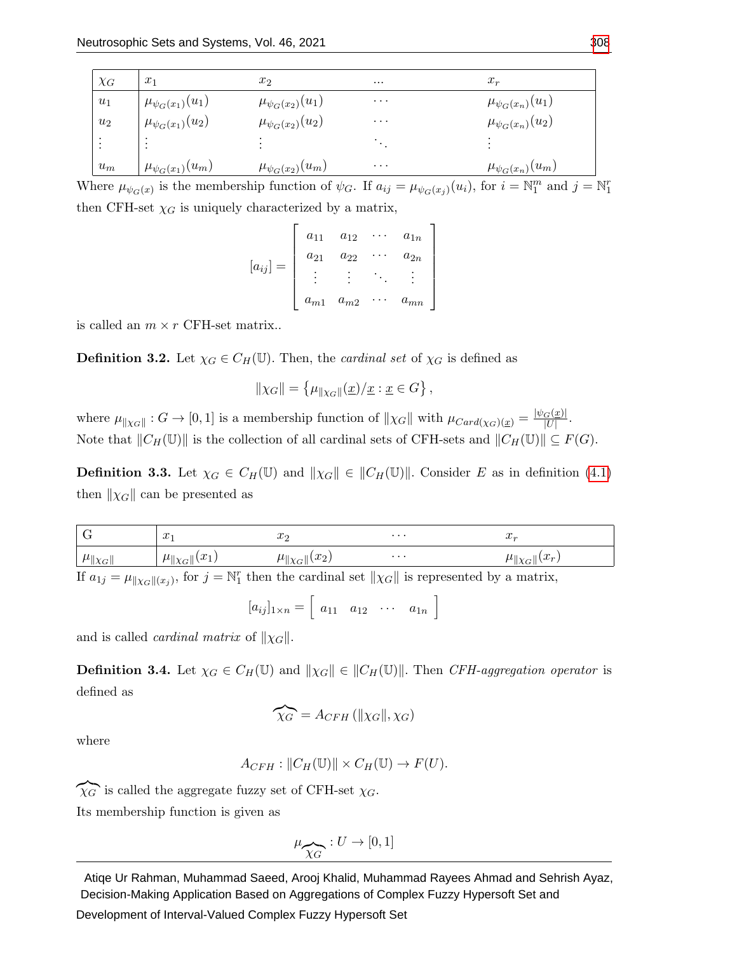| $\chi$ <sub>G</sub> | $x_1$                                                   | $x_2$                    | $\cdots$ | $x_r$                    |
|---------------------|---------------------------------------------------------|--------------------------|----------|--------------------------|
| $u_1$               |                                                         | $\mu_{\psi_G(x_2)}(u_1)$ | $\cdots$ | $\mu_{\psi_G(x_n)}(u_1)$ |
| $u_2$               | $\frac{\mu_{\psi_G(x_1)}(u_1)}{\mu_{\psi_G(x_1)}(u_2)}$ | $\mu_{\psi_G(x_2)}(u_2)$ | $\cdots$ | $\mu_{\psi_G(x_n)}(u_2)$ |
| ٠<br>$\cdot$        | $\bullet$                                               | ٠                        |          |                          |
| $u_m$               | $\mu_{\psi_G(x_1)}(u_m)$                                | $\mu_{\psi_G(x_2)}(u_m)$ | $\cdots$ | $\mu_{\psi_G(x_n)}(u_m)$ |

Where  $\mu_{\psi_G(x)}$  is the membership function of  $\psi_G$ . If  $a_{ij} = \mu_{\psi_G(x_j)}(u_i)$ , for  $i = \mathbb{N}_1^m$  and  $j = \mathbb{N}_1^r$ then CFH-set  $\chi_G$  is uniquely characterized by a matrix,

$$
[a_{ij}] = \begin{bmatrix} a_{11} & a_{12} & \cdots & a_{1n} \\ a_{21} & a_{22} & \cdots & a_{2n} \\ \vdots & \vdots & \ddots & \vdots \\ a_{m1} & a_{m2} & \cdots & a_{mn} \end{bmatrix}
$$

is called an  $m \times r$  CFH-set matrix..

**Definition 3.2.** Let  $\chi_G \in C_H(\mathbb{U})$ . Then, the *cardinal set* of  $\chi_G$  is defined as

$$
\|\chi_G\| = \left\{\mu_{\|\chi_G\|}(\underline{x})/\underline{x} : \underline{x} \in G\right\},\
$$

where  $\mu_{\|\chi_G\|}: G \to [0,1]$  is a membership function of  $\|\chi_G\|$  with  $\mu_{Card(\chi_G)(\underline{x})} = \frac{|\psi_G(\underline{x})|}{|U|}$  $\frac{G(\underline{x})|}{|U|}.$ Note that  $||C_H(\mathbb{U})||$  is the collection of all cardinal sets of CFH-sets and  $||C_H(\mathbb{U})|| \subseteq F(G)$ .

**Definition 3.3.** Let  $\chi_G \in C_H(\mathbb{U})$  and  $\|\chi_G\| \in \|C_H(\mathbb{U})\|$ . Consider E as in definition [\(4.1\)](#page-11-0) then  $\|\chi_G\|$  can be presented as

| $\overline{G}$                   | $x\cdot$                   | $\cdot$                 | $\cdots$ | $J_{\alpha}$                            |
|----------------------------------|----------------------------|-------------------------|----------|-----------------------------------------|
| $\Vert \mu_{\Vert \chi_G \Vert}$ | $\ \mu\ _{\chi_G}$ $(x_1)$ | $\mu_{\ \chi_G\ }(x_2)$ | $\cdots$ | $\mu_{\parallel \chi_G \parallel}(x_r)$ |
|                                  |                            |                         |          |                                         |

If  $a_{1j} = \mu_{\Vert \chi_G \Vert (x_j)}$ , for  $j = \mathbb{N}_1^r$  then the cardinal set  $\Vert \chi_G \Vert$  is represented by a matrix,

$$
[a_{ij}]_{1\times n} = \left[ a_{11} \quad a_{12} \quad \cdots \quad a_{1n} \right]
$$

and is called *cardinal matrix* of  $\|\chi_G\|$ .

**Definition 3.4.** Let  $\chi_G \in C_H(\mathbb{U})$  and  $\|\chi_G\| \in \|C_H(\mathbb{U})\|$ . Then CFH-aggregation operator is defined as

$$
\widehat{\chi_G} = A_{CFH} (\|\chi_G\|, \chi_G)
$$

where

$$
A_{CFH}: ||C_H(\mathbb{U})|| \times C_H(\mathbb{U}) \to F(U).
$$

 $\chi_{G}$  is called the aggregate fuzzy set of CFH-set  $\chi_{G}$ .

Its membership function is given as

$$
\mu_{\widehat{\chi_G}}:U\to [0,1]
$$

Atiqe Ur Rahman, Muhammad Saeed, Arooj Khalid, Muhammad Rayees Ahmad and Sehrish Ayaz, Decision-Making Application Based on Aggregations of Complex Fuzzy Hypersoft Set and

Development of Interval-Valued Complex Fuzzy Hypersoft Set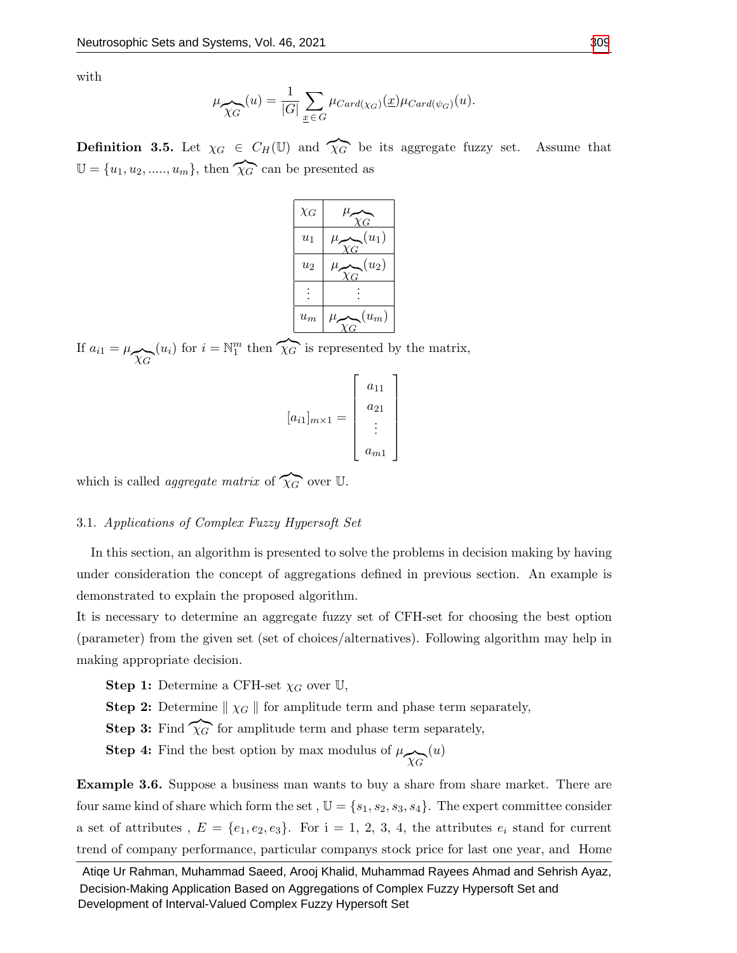with

$$
\mu_{\widehat{\chi_G}}(u) = \frac{1}{|G|} \sum_{\underline{x} \in G} \mu_{Card(\chi_G)}(\underline{x}) \mu_{Card(\psi_G)}(u).
$$

**Definition 3.5.** Let  $\chi_G \in C_H(\mathbb{U})$  and  $\widehat{\chi}_G$  be its aggregate fuzzy set. Assume that  $\mathbb{U} = \{u_1, u_2, \dots, u_m\},\$  then  $\widehat{\chi_{G}}$  can be presented as



If  $a_{i1} = \mu_{\widehat{\chi_G}}$  $(u_i)$  for  $i = \mathbb{N}_1^m$  then  $\widehat{\chi_G}$  is represented by the matrix,

$$
[a_{i1}]_{m\times 1} = \begin{bmatrix} a_{11} \\ a_{21} \\ \vdots \\ a_{m1} \end{bmatrix}
$$

which is called *aggregate matrix* of  $\widehat{\chi}_G$  over U.

# 3.1. Applications of Complex Fuzzy Hypersoft Set

In this section, an algorithm is presented to solve the problems in decision making by having under consideration the concept of aggregations defined in previous section. An example is demonstrated to explain the proposed algorithm.

It is necessary to determine an aggregate fuzzy set of CFH-set for choosing the best option (parameter) from the given set (set of choices/alternatives). Following algorithm may help in making appropriate decision.

**Step 1:** Determine a CFH-set  $\chi_G$  over U,

**Step 2:** Determine  $\| \chi_G \|$  for amplitude term and phase term separately,

**Step 3:** Find  $\chi$ <sup>*G*</sup> for amplitude term and phase term separately,

**Step 4:** Find the best option by max modulus of  $\mu_{\widehat{\chi}_{G}}$  $(u)$ 

Example 3.6. Suppose a business man wants to buy a share from share market. There are four same kind of share which form the set,  $\mathbb{U} = \{s_1, s_2, s_3, s_4\}$ . The expert committee consider a set of attributes,  $E = \{e_1, e_2, e_3\}$ . For  $i = 1, 2, 3, 4$ , the attributes  $e_i$  stand for current trend of company performance, particular companys stock price for last one year, and Home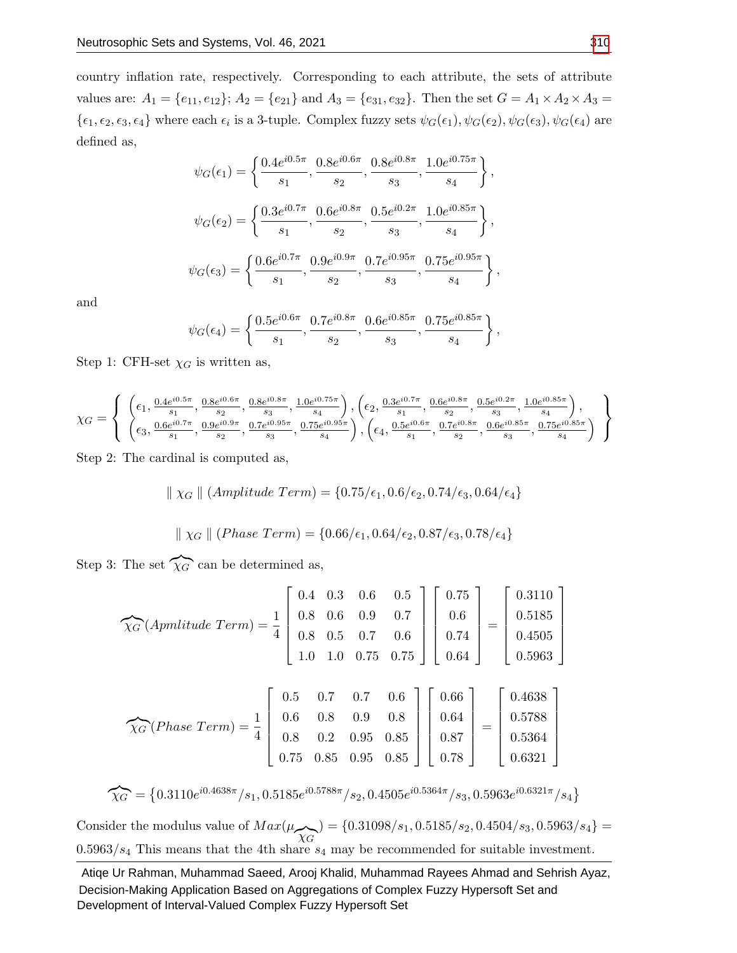country inflation rate, respectively. Corresponding to each attribute, the sets of attribute values are:  $A_1 = \{e_{11}, e_{12}\}; A_2 = \{e_{21}\}\$ and  $A_3 = \{e_{31}, e_{32}\}.$  Then the set  $G = A_1 \times A_2 \times A_3 =$  $\{\epsilon_1,\epsilon_2,\epsilon_3,\epsilon_4\}$  where each  $\epsilon_i$  is a 3-tuple. Complex fuzzy sets  $\psi_G(\epsilon_1),\psi_G(\epsilon_2),\psi_G(\epsilon_3),\psi_G(\epsilon_4)$  are defined as,

$$
\psi_G(\epsilon_1) = \left\{ \frac{0.4e^{i0.5\pi}}{s_1}, \frac{0.8e^{i0.6\pi}}{s_2}, \frac{0.8e^{i0.8\pi}}{s_3}, \frac{1.0e^{i0.75\pi}}{s_4} \right\},
$$
  

$$
\psi_G(\epsilon_2) = \left\{ \frac{0.3e^{i0.7\pi}}{s_1}, \frac{0.6e^{i0.8\pi}}{s_2}, \frac{0.5e^{i0.2\pi}}{s_3}, \frac{1.0e^{i0.85\pi}}{s_4} \right\},
$$
  

$$
\psi_G(\epsilon_3) = \left\{ \frac{0.6e^{i0.7\pi}}{s_1}, \frac{0.9e^{i0.9\pi}}{s_2}, \frac{0.7e^{i0.95\pi}}{s_3}, \frac{0.75e^{i0.95\pi}}{s_4} \right\},
$$

and

$$
\psi_{G}(\epsilon_{4})=\left\{\frac{0.5e^{i0.6\pi}}{s_{1}},\frac{0.7e^{i0.8\pi}}{s_{2}},\frac{0.6e^{i0.85\pi}}{s_{3}},\frac{0.75e^{i0.85\pi}}{s_{4}}\right\}
$$

Step 1: CFH-set  $\chi_G$  is written as,

$$
\chi_G = \left\{ \begin{array}{c} \left(\epsilon_1, \frac{0.4e^{i0.5\pi}}{s_1}, \frac{0.8e^{i0.6\pi}}{s_2}, \frac{0.8e^{i0.8\pi}}{s_3}, \frac{1.0e^{i0.75\pi}}{s_4}\right), \left(\epsilon_2, \frac{0.3e^{i0.7\pi}}{s_1}, \frac{0.6e^{i0.8\pi}}{s_2}, \frac{0.5e^{i0.2\pi}}{s_3}, \frac{1.0e^{i0.85\pi}}{s_4}\right),\\ \left(\epsilon_3, \frac{0.6e^{i0.7\pi}}{s_1}, \frac{0.9e^{i0.9\pi}}{s_2}, \frac{0.7e^{i0.95\pi}}{s_3}, \frac{0.75e^{i0.95\pi}}{s_4}\right), \left(\epsilon_4, \frac{0.5e^{i0.6\pi}}{s_1}, \frac{0.7e^{i0.8\pi}}{s_2}, \frac{0.6e^{i0.85\pi}}{s_3}, \frac{0.75e^{i0.85\pi}}{s_4}\right) \end{array} \right\}
$$

Step 2: The cardinal is computed as,

$$
\parallel \chi_G \parallel (Amplitude\ Term) = \{0.75/\epsilon_1, 0.6/\epsilon_2, 0.74/\epsilon_3, 0.64/\epsilon_4\}
$$

$$
\parallel \chi_G \parallel (Phase\ Term) = \{0.66/\epsilon_1, 0.64/\epsilon_2, 0.87/\epsilon_3, 0.78/\epsilon_4\}
$$

Step 3: The set  $\widehat{\chi_G}$  can be determined as,

$$
\widehat{\chi_G}(\text{Apmitude Term}) = \frac{1}{4} \begin{bmatrix} 0.4 & 0.3 & 0.6 & 0.5 \\ 0.8 & 0.6 & 0.9 & 0.7 \\ 0.8 & 0.5 & 0.7 & 0.6 \\ 1.0 & 1.0 & 0.75 & 0.75 \end{bmatrix} \begin{bmatrix} 0.75 \\ 0.6 \\ 0.74 \\ 0.64 \end{bmatrix} = \begin{bmatrix} 0.3110 \\ 0.5185 \\ 0.4505 \\ 0.5963 \end{bmatrix}
$$

$$
\widehat{\chi_G}(Phase Term) = \frac{1}{4} \begin{bmatrix} 0.5 & 0.7 & 0.7 & 0.6 \\ 0.6 & 0.8 & 0.9 & 0.8 \\ 0.8 & 0.2 & 0.95 & 0.85 \\ 0.75 & 0.85 & 0.95 & 0.85 \end{bmatrix} \begin{bmatrix} 0.66 \\ 0.64 \\ 0.87 \\ 0.78 \end{bmatrix} = \begin{bmatrix} 0.4638 \\ 0.5788 \\ 0.5364 \\ 0.6321 \end{bmatrix}
$$

$$
\widehat{\chi_G} = \big\{ 0.3110e^{i 0.4638\pi}/s_1, 0.5185e^{i 0.5788\pi}/s_2, 0.4505e^{i 0.5364\pi}/s_3, 0.5963e^{i 0.6321\pi}/s_4 \big\}
$$

Consider the modulus value of  $Max(\mu_{\widehat{\chi_{G}}}) = \{0.31098/s_1, 0.5185/s_2, 0.4504/s_3, 0.5963/s_4\} =$  $0.5963/s<sub>4</sub>$  This means that the 4th share  $s<sub>4</sub>$  may be recommended for suitable investment.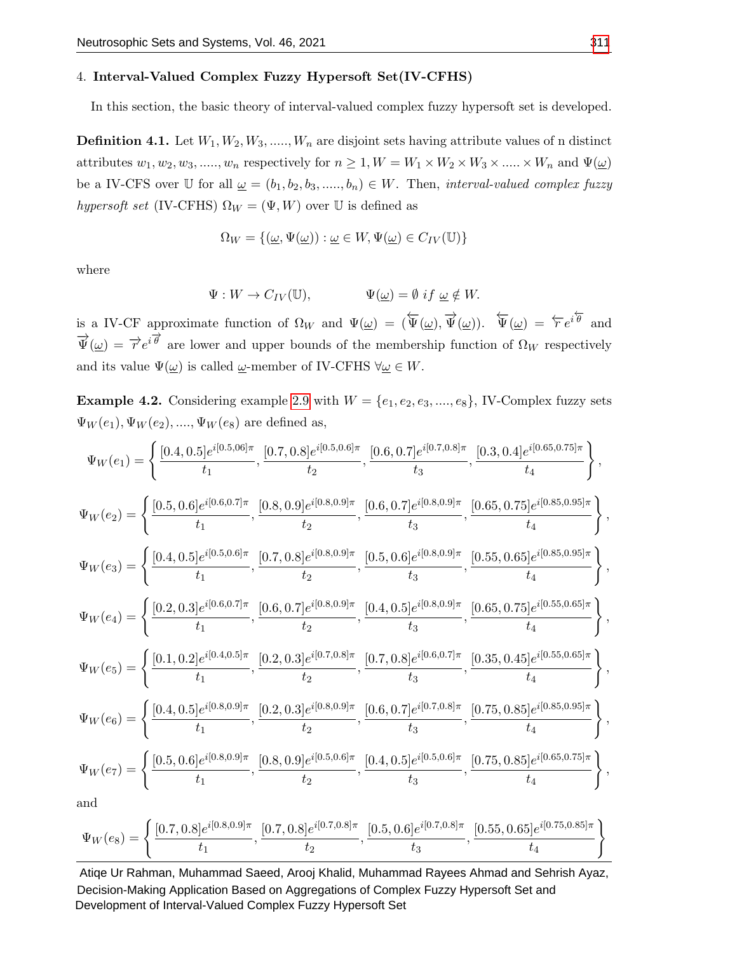#### 4. Interval-Valued Complex Fuzzy Hypersoft Set(IV-CFHS)

In this section, the basic theory of interval-valued complex fuzzy hypersoft set is developed.

<span id="page-11-0"></span>**Definition 4.1.** Let  $W_1, W_2, W_3, \ldots, W_n$  are disjoint sets having attribute values of n distinct attributes  $w_1, w_2, w_3, \dots, w_n$  respectively for  $n \geq 1, W = W_1 \times W_2 \times W_3 \times \dots \times W_n$  and  $\Psi(\underline{\omega})$ be a IV-CFS over U for all  $\underline{\omega} = (b_1, b_2, b_3, \dots, b_n) \in W$ . Then, interval-valued complex fuzzy hypersoft set (IV-CFHS)  $\Omega_W = (\Psi, W)$  over U is defined as

$$
\Omega_W = \{(\underline{\omega}, \Psi(\underline{\omega})) : \underline{\omega} \in W, \Psi(\underline{\omega}) \in C_{IV}(\mathbb{U})\}
$$

where

$$
\Psi: W \to C_{IV}(\mathbb{U}), \qquad \Psi(\underline{\omega}) = \emptyset \text{ if } \underline{\omega} \notin W.
$$

is a IV-CF approximate function of  $\Omega_W$  and  $\Psi(\underline{\omega}) = (\overleftarrow{\Psi}(\underline{\omega}), \overrightarrow{\Psi}(\underline{\omega}))$ .  $\overleftarrow{\Psi}(\underline{\omega}) = \overleftarrow{r}e^{i\overleftarrow{\theta}}$  and  $\vec{\Psi}(\omega) = \vec{r} e^{i \vec{\theta}}$  are lower and upper bounds of the membership function of  $\Omega_W$  respectively and its value  $\Psi(\underline{\omega})$  is called  $\underline{\omega}$ -member of IV-CFHS  $\forall \underline{\omega} \in W$ .

**Example 4.2.** Considering example [2.9](#page-4-2) with  $W = \{e_1, e_2, e_3, \ldots, e_8\}$ , IV-Complex fuzzy sets  $\Psi_W(e_1), \Psi_W(e_2), ..., \Psi_W(e_8)$  are defined as,

$$
\Psi_{W}(e_{1}) = \left\{ \frac{[0.4, 0.5]e^{i[0.5, 06]\pi}}{t_{1}}, \frac{[0.7, 0.8]e^{i[0.5, 0.6]\pi}}{t_{2}}, \frac{[0.6, 0.7]e^{i[0.7, 0.8]\pi}}{t_{3}}, \frac{[0.3, 0.4]e^{i[0.65, 0.75]\pi}}{t_{4}} \right\},
$$
\n
$$
\Psi_{W}(e_{2}) = \left\{ \frac{[0.5, 0.6]e^{i[0.6, 0.7]\pi}}{t_{1}}, \frac{[0.8, 0.9]e^{i[0.8, 0.9]\pi}}{t_{2}}, \frac{[0.6, 0.7]e^{i[0.8, 0.9]\pi}}{t_{3}}, \frac{[0.65, 0.75]e^{i[0.85, 0.95]\pi}}{t_{4}} \right\},
$$
\n
$$
\Psi_{W}(e_{3}) = \left\{ \frac{[0.4, 0.5]e^{i[0.5, 0.6]\pi}}{t_{1}}, \frac{[0.7, 0.8]e^{i[0.8, 0.9]\pi}}{t_{2}}, \frac{[0.5, 0.6]e^{i[0.8, 0.9]\pi}}{t_{3}}, \frac{[0.55, 0.65]e^{i[0.85, 0.95]\pi}}{t_{4}} \right\},
$$
\n
$$
\Psi_{W}(e_{4}) = \left\{ \frac{[0.2, 0.3]e^{i[0.6, 0.7]\pi}}{t_{1}}, \frac{[0.6, 0.7]e^{i[0.8, 0.9]\pi}}{t_{2}}, \frac{[0.4, 0.5]e^{i[0.8, 0.9]\pi}}{t_{3}}, \frac{[0.65, 0.75]e^{i[0.55, 0.65]\pi}}{t_{4}} \right\},
$$
\n
$$
\Psi_{W}(e_{5}) = \left\{ \frac{[0.1, 0.2]e^{i[0.4, 0.5]\pi}}{t_{1}}, \frac{[0.2, 0.3]e^{i[0.7, 0.8]\pi}}{t_{2}}, \frac{[0.7, 0.8]e^{i[0.8, 0.9]\pi}}{t_{
$$

$$
\Psi_W(e_8) = \left\{ \frac{[0.7, 0.8]e^{i[0.8, 0.9]\pi}}{t_1}, \frac{[0.7, 0.8]e^{i[0.7, 0.8]\pi}}{t_2}, \frac{[0.5, 0.6]e^{i[0.7, 0.8]\pi}}{t_3}, \frac{[0.55, 0.65]e^{i[0.75, 0.85]\pi}}{t_4} \right\}
$$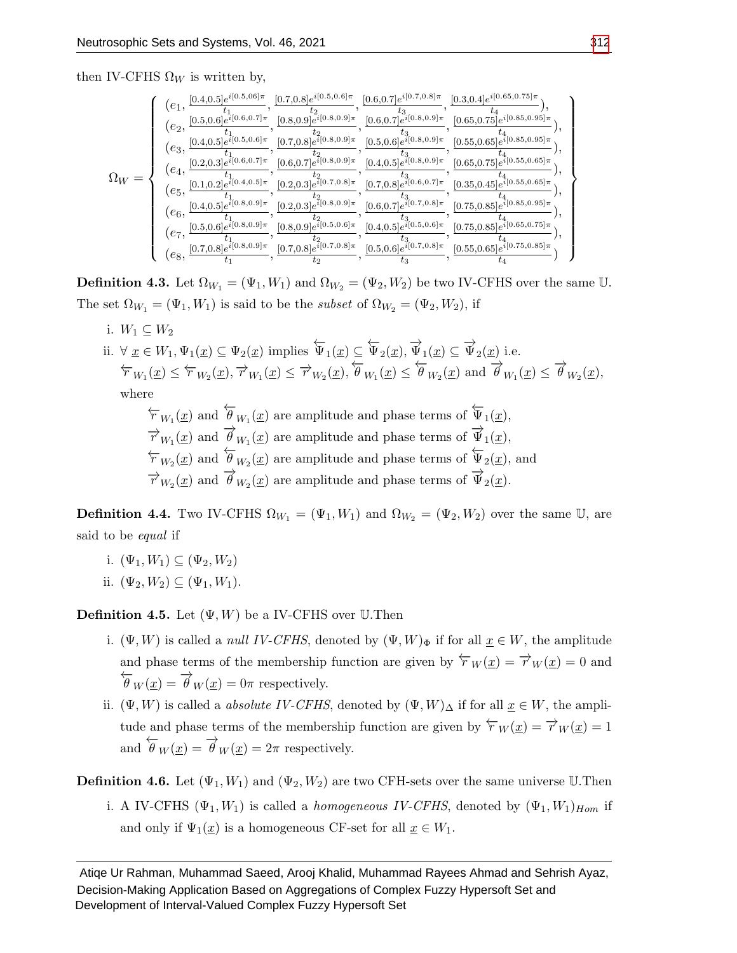then IV-CFHS  $\Omega_W$  is written by,

$$
\Omega_W=\left\{\begin{array}{c} (e_1,\frac{[0.4,0.5]e^{i[0.5,06]\pi}}{t_1},\frac{[0.7,0.8]e^{i[0.5,0.6]\pi}}{t_2},\frac{[0.6,0.7]e^{i[0.8,0.9]\pi}}{t_3},\frac{[0.6,0.7]e^{i[0.8,0.9]\pi}}{t_4},\frac{[0.6,0.7]e^{i[0.8,0.9]\pi}}{t_5},\frac{[0.6,0.7]e^{i[0.8,0.9]\pi}}{t_5},\frac{[0.6,0.7]e^{i[0.8,0.9]\pi}}{t_5},\frac{[0.6,0.7]e^{i[0.8,0.9]\pi}}{t_5},\frac{[0.6,0.7]e^{i[0.8,0.9]\pi}}{t_5},\frac{[0.6,0.7]e^{i[0.8,0.9]\pi}}{t_5},\frac{[0.6,0.7]e^{i[0.8,0.9]\pi}}{t_5},\frac{[0.6,0.7]e^{i[0.8,0.9]\pi}}{t_5},\frac{[0.6,0.7]e^{i[0.8,0.9]\pi}}{t_5},\frac{[0.6,0.7]e^{i[0.8,0.9]\pi}}{t_5},\frac{[0.6,0.7]e^{i[0.8,0.9]\pi}}{t_5},\frac{[0.6,0.7]e^{i[0.8,0.9]\pi}}{t_5},\frac{[0.6,0.7]e^{i[0.8,0.9]\pi}}{t_5},\frac{[0.6,0.7]e^{i[0.8,0.9]\pi}}{t_5},\frac{[0.6,0.7]e^{i[0.8,0.9]\pi}}{t_5},\frac{[0.6,0.7]e^{i[0.8,0.9]\pi}}{t_5},\frac{[0.6,0.7]e^{i[0.8,0.9]\pi}}{t_5},\frac{[0.6,0.7]e^{i[0.8,0.9]\pi}}{t_5},\frac{[0.6,0.7]e^{i[0.8,0.9]\pi}}{t_5},\frac{[0.6,0.7]e^{i[0.8,0.9]\pi}}{t_5},
$$

**Definition 4.3.** Let  $\Omega_{W_1} = (\Psi_1, W_1)$  and  $\Omega_{W_2} = (\Psi_2, W_2)$  be two IV-CFHS over the same U. The set  $\Omega_{W_1} = (\Psi_1, W_1)$  is said to be the *subset* of  $\Omega_{W_2} = (\Psi_2, W_2)$ , if

i.  $W_1 \subseteq W_2$ 

ii. 
$$
\forall \underline{x} \in W_1, \Psi_1(\underline{x}) \subseteq \Psi_2(\underline{x})
$$
 implies  $\overleftarrow{\Psi}_1(\underline{x}) \subseteq \overleftarrow{\Psi}_2(\underline{x}), \overrightarrow{\Psi}_1(\underline{x}) \subseteq \overrightarrow{\Psi}_2(\underline{x})$  i.e.  
\n $\overleftarrow{r}_{W_1}(\underline{x}) \leq \overleftarrow{r}_{W_2}(\underline{x}), \overrightarrow{r}_{W_1}(\underline{x}) \leq \overrightarrow{r}_{W_2}(\underline{x}), \overleftarrow{\theta}_{W_1}(\underline{x}) \leq \overleftarrow{\theta}_{W_2}(\underline{x})$  and  $\overrightarrow{\theta}_{W_1}(\underline{x}) \leq \overrightarrow{\theta}_{W_2}(\underline{x}),$   
\nwhere  
\n $\overleftarrow{r}_{W_1}(\overrightarrow{x}) \leq \overrightarrow{r}_{W_2}(\overrightarrow{x})$ 

 $\overleftarrow{r}_{W_1}(\underline{x})$  and  $\theta_{W_1}(\underline{x})$  are amplitude and phase terms of  $\Psi_1(\underline{x})$ ,  $\overrightarrow{r}_{W_1}(\underline{x})$  and  $\overrightarrow{\theta}_{W_1}(\underline{x})$  are amplitude and phase terms of  $\overrightarrow{\Psi}_1(\underline{x})$ ,  $\overleftarrow{r}_{W_2}(\underline{x})$  and  $\overleftarrow{\theta}_{W_2}(\underline{x})$  are amplitude and phase terms of  $\overleftarrow{\Psi}_2(\underline{x})$ , and  $\overrightarrow{r}_{W_2}(\underline{x})$  and  $\overrightarrow{\theta}_{W_2}(\underline{x})$  are amplitude and phase terms of  $\overrightarrow{\Psi}_2(\underline{x})$ .

**Definition 4.4.** Two IV-CFHS  $\Omega_{W_1} = (\Psi_1, W_1)$  and  $\Omega_{W_2} = (\Psi_2, W_2)$  over the same U, are said to be *equal* if

- i.  $(\Psi_1, W_1) \subseteq (\Psi_2, W_2)$
- ii.  $(\Psi_2, W_2) \subseteq (\Psi_1, W_1)$ .

**Definition 4.5.** Let  $(\Psi, W)$  be a IV-CFHS over U.Then

- i.  $(\Psi, W)$  is called a *null IV-CFHS*, denoted by  $(\Psi, W)_{\Phi}$  if for all  $\underline{x} \in W$ , the amplitude and phase terms of the membership function are given by  $\overleftarrow{r}_W(\underline{x}) = \overrightarrow{r}_W(\underline{x}) = 0$  and  $\overleftarrow{\theta}_W(x) = \overrightarrow{\theta}_W(x) = 0\pi$  respectively.
- ii.  $(\Psi, W)$  is called a *absolute IV-CFHS*, denoted by  $(\Psi, W)_{\Delta}$  if for all  $\underline{x} \in W$ , the amplitude and phase terms of the membership function are given by  $\overleftarrow{r}_W(\underline{x}) = \overrightarrow{r}_W(\underline{x}) = 1$ and  $\overleftarrow{\theta}_W(\underline{x}) = \overrightarrow{\theta}_W(\underline{x}) = 2\pi$  respectively.

# **Definition 4.6.** Let  $(\Psi_1, W_1)$  and  $(\Psi_2, W_2)$  are two CFH-sets over the same universe U.Then i. A IV-CFHS ( $\Psi_1, W_1$ ) is called a *homogeneous IV-CFHS*, denoted by  $(\Psi_1, W_1)_{Hom}$  if and only if  $\Psi_1(\underline{x})$  is a homogeneous CF-set for all  $\underline{x} \in W_1$ .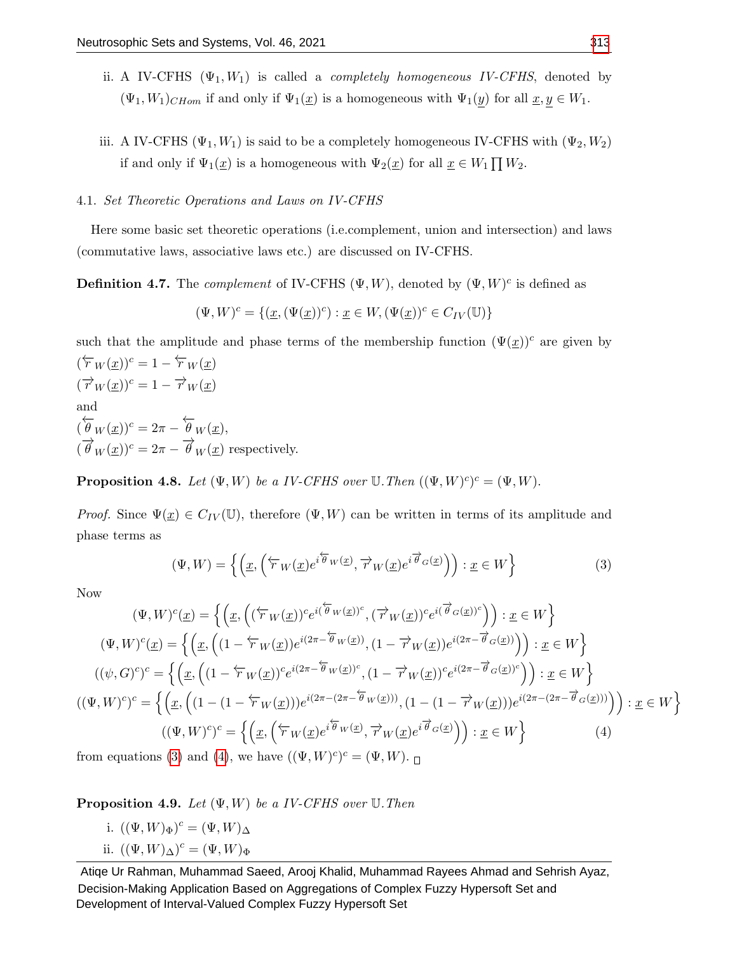- ii. A IV-CFHS  $(\Psi_1, W_1)$  is called a *completely homogeneous IV-CFHS*, denoted by  $(\Psi_1, W_1)_{CHom}$  if and only if  $\Psi_1(\underline{x})$  is a homogeneous with  $\Psi_1(y)$  for all  $\underline{x}, y \in W_1$ .
- iii. A IV-CFHS ( $\Psi_1, W_1$ ) is said to be a completely homogeneous IV-CFHS with  $(\Psi_2, W_2)$ if and only if  $\Psi_1(\underline{x})$  is a homogeneous with  $\Psi_2(\underline{x})$  for all  $\underline{x} \in W_1 \prod W_2$ .

# 4.1. Set Theoretic Operations and Laws on IV-CFHS

Here some basic set theoretic operations (i.e.complement, union and intersection) and laws (commutative laws, associative laws etc.) are discussed on IV-CFHS.

**Definition 4.7.** The *complement* of IV-CFHS  $(\Psi, W)$ , denoted by  $(\Psi, W)^c$  is defined as

$$
(\Psi, W)^c = \{ (\underline{x}, (\Psi(\underline{x}))^c) : \underline{x} \in W, (\Psi(\underline{x}))^c \in C_{IV}(\mathbb{U}) \}
$$

such that the amplitude and phase terms of the membership function  $(\Psi(x))^c$  are given by

 $(\overleftarrow{r}_W(\underline{x}))^c = 1 - \overleftarrow{r}_W(\underline{x})$  $(\overrightarrow{r}_W(\underline{x}))^c = 1 - \overrightarrow{r}_W(\underline{x})$ and  $\left(\overleftarrow{\theta}_W(\underline{x})\right)^c = 2\pi - \overleftarrow{\theta}_W(\underline{x}),$  $(\overrightarrow{\theta}_W(\underline{x}))^c = 2\pi - \overrightarrow{\theta}_W(\underline{x})$  respectively.

**Proposition 4.8.** Let  $(\Psi, W)$  be a IV-CFHS over  $\mathbb{U}$ . Then  $((\Psi, W)^c)^c = (\Psi, W)$ .

*Proof.* Since  $\Psi(\underline{x}) \in C_{IV}(\mathbb{U})$ , therefore  $(\Psi, W)$  can be written in terms of its amplitude and phase terms as

<span id="page-13-0"></span>
$$
(\Psi, W) = \left\{ \left( \underline{x}, \left( \overleftarrow{r}_W(\underline{x}) e^{i \overleftarrow{\theta}_W(\underline{x})}, \overrightarrow{r}_W(\underline{x}) e^{i \overrightarrow{\theta}_G(\underline{x})} \right) \right) : \underline{x} \in W \right\} \tag{3}
$$

Now

$$
(\Psi, W)^c(\underline{x}) = \left\{ \left( \underline{x}, \left( (\overleftarrow{v}^W(\underline{x}))^c e^{i(\overleftrightarrow{\theta}_W(\underline{x}))^c}, (\overrightarrow{v}^W(\underline{x}))^c e^{i(\overrightarrow{\theta}_G(\underline{x}))^c} \right) \right) : \underline{x} \in W \right\}
$$

$$
(\Psi, W)^c(\underline{x}) = \left\{ \left( \underline{x}, \left( (1 - \overleftarrow{v}^W(\underline{x})) e^{i(2\pi - \overleftarrow{\theta}_W(\underline{x}))}, (1 - \overrightarrow{v}^W(\underline{x})) e^{i(2\pi - \overrightarrow{\theta}_G(\underline{x}))} \right) \right) : \underline{x} \in W \right\}
$$

$$
((\psi, G)^c)^c = \left\{ \left( \underline{x}, \left( (1 - \overleftarrow{v}^W(\underline{x}))^c e^{i(2\pi - \overleftarrow{\theta}_W(\underline{x}))^c}, (1 - \overrightarrow{v}^W(\underline{x}))^c e^{i(2\pi - \overrightarrow{\theta}_G(\underline{x}))^c} \right) \right) : \underline{x} \in W \right\}
$$

$$
((\Psi, W)^c)^c = \left\{ \left( \underline{x}, \left( (1 - (1 - \overleftarrow{v}^W(\underline{x}))) e^{i(2\pi - (2\pi - \overleftarrow{\theta}_W(\underline{x}))}, (1 - (1 - \overrightarrow{v}^W(\underline{x}))) e^{i(2\pi - (2\pi - \overrightarrow{\theta}_G(\underline{x})))} \right) \right) : \underline{x} \in W \right\}
$$

$$
((\Psi, W)^c)^c = \left\{ \left( \underline{x}, \left( \overleftarrow{v}^W(\underline{x}) e^{i \overleftarrow{\theta}_W(\underline{x})}, \overrightarrow{v}^W(\underline{x}) e^{i \overrightarrow{\theta}_G(\underline{x})} \right) \right) : \underline{x} \in W \right\} \right\}
$$

$$
(4)
$$

<span id="page-13-1"></span>from equations [\(3\)](#page-13-0) and [\(4\)](#page-13-1), we have  $((\Psi, W)^c)^c = (\Psi, W)$ .

**Proposition 4.9.** Let  $(\Psi, W)$  be a IV-CFHS over  $\mathbb U$ . Then

- i.  $((\Psi, W)_{\Phi})^c = (\Psi, W)_{\Delta}$
- ii.  $((\Psi, W)_{\Delta})^c = (\Psi, W)_{\Phi}$

Atiqe Ur Rahman, Muhammad Saeed, Arooj Khalid, Muhammad Rayees Ahmad and Sehrish Ayaz, Decision-Making Application Based on Aggregations of Complex Fuzzy Hypersoft Set and Development of Interval-Valued Complex Fuzzy Hypersoft Set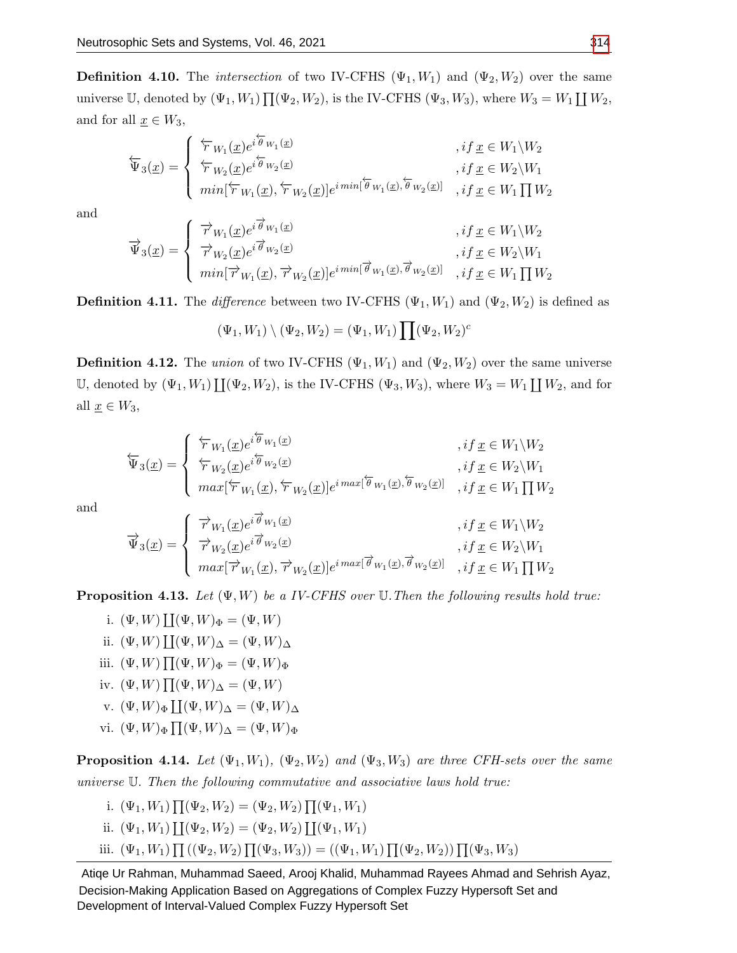**Definition 4.10.** The *intersection* of two IV-CFHS  $(\Psi_1, W_1)$  and  $(\Psi_2, W_2)$  over the same universe U, denoted by  $(\Psi_1, W_1) \prod_{i=1}^N (\Psi_2, W_2)$ , is the IV-CFHS  $(\Psi_3, W_3)$ , where  $W_3 = W_1 \coprod W_2$ , and for all  $\underline{x} \in W_3$ ,

$$
\overleftarrow{\Psi}_{3}(\underline{x}) = \begin{cases}\n\overleftarrow{r}_{W_{1}}(\underline{x})e^{i\overleftarrow{\theta}_{W_{1}}(\underline{x})} & , if \underline{x} \in W_{1} \setminus W_{2} \\
\overleftarrow{r}_{W_{2}}(\underline{x})e^{i\overleftarrow{\theta}_{W_{2}}(\underline{x})} & , if \underline{x} \in W_{2} \setminus W_{1} \\
min[\overleftarrow{r}_{W_{1}}(\underline{x}), \overleftarrow{r}_{W_{2}}(\underline{x})]e^{i\min[\overleftarrow{\theta}_{W_{1}}(\underline{x}), \overleftarrow{\theta}_{W_{2}}(\underline{x})]} & , if \underline{x} \in W_{1} \prod W_{2}\n\end{cases}
$$

and

$$
\overrightarrow{\Psi}_{3}(\underline{x}) = \begin{cases} \overrightarrow{r}_{W_{1}}(\underline{x})e^{i\overrightarrow{\theta}_{W_{1}}(\underline{x})} & , if \underline{x} \in W_{1} \backslash W_{2} \\ \overrightarrow{r}_{W_{2}}(\underline{x})e^{i\overrightarrow{\theta}_{W_{2}}(\underline{x})} & , if \underline{x} \in W_{2} \backslash W_{1} \\ min[\overrightarrow{r}_{W_{1}}(\underline{x}), \overrightarrow{r}_{W_{2}}(\underline{x})]e^{i\min[\overrightarrow{\theta}_{W_{1}}(\underline{x}), \overrightarrow{\theta}_{W_{2}}(\underline{x})]} & , if \underline{x} \in W_{1} \prod W_{2} \end{cases}
$$

**Definition 4.11.** The difference between two IV-CFHS  $(\Psi_1, W_1)$  and  $(\Psi_2, W_2)$  is defined as

$$
(\Psi_1, W_1) \setminus (\Psi_2, W_2) = (\Psi_1, W_1) \prod (\Psi_2, W_2)^c
$$

**Definition 4.12.** The union of two IV-CFHS  $(\Psi_1, W_1)$  and  $(\Psi_2, W_2)$  over the same universe U, denoted by  $(\Psi_1, W_1) \coprod (\Psi_2, W_2)$ , is the IV-CFHS  $(\Psi_3, W_3)$ , where  $W_3 = W_1 \coprod W_2$ , and for all  $\underline{x} \in W_3$ ,

$$
\overleftarrow{\Psi}_{3}(\underline{x}) = \begin{cases}\n\overleftarrow{r}_{W_{1}}(\underline{x})e^{i\overleftarrow{\theta}_{W_{1}}(\underline{x})} & , if \underline{x} \in W_{1} \backslash W_{2} \\
\overleftarrow{r}_{W_{2}}(\underline{x})e^{i\overleftarrow{\theta}_{W_{2}}(\underline{x})} & , if \underline{x} \in W_{2} \backslash W_{1} \\
max[\overleftarrow{r}_{W_{1}}(\underline{x}), \overleftarrow{r}_{W_{2}}(\underline{x})]e^{i \max[\overleftarrow{\theta}_{W_{1}}(\underline{x}), \overleftarrow{\theta}_{W_{2}}(\underline{x})]} & , if \underline{x} \in W_{1} \prod W_{2}\n\end{cases}
$$

and

$$
\overrightarrow{\Psi}_{3}(\underline{x}) = \begin{cases} \overrightarrow{r}_{W_{1}}(\underline{x})e^{i\overrightarrow{\theta}_{W_{1}}(\underline{x})} & , if \underline{x} \in W_{1} \backslash W_{2} \\ \overrightarrow{r}_{W_{2}}(\underline{x})e^{i\overrightarrow{\theta}_{W_{2}}(\underline{x})} & , if \underline{x} \in W_{2} \backslash W_{1} \\ max[\overrightarrow{r}_{W_{1}}(\underline{x}), \overrightarrow{r}_{W_{2}}(\underline{x})]e^{i \max[\overrightarrow{\theta}_{W_{1}}(\underline{x}), \overrightarrow{\theta}_{W_{2}}(\underline{x})]} & , if \underline{x} \in W_{1} \prod W_{2} \end{cases}
$$

**Proposition 4.13.** Let  $(\Psi, W)$  be a IV-CFHS over  $\mathbb U$ . Then the following results hold true:

i.  $(\Psi, W) \coprod (\Psi, W)_{\Phi} = (\Psi, W)$ ii.  $(\Psi, W) \coprod (\Psi, W)_{\Delta} = (\Psi, W)_{\Delta}$ iii.  $(\Psi, W) \prod (\Psi, W)_{\Phi} = (\Psi, W)_{\Phi}$ iv.  $(\Psi, W) \prod (\Psi, W)_{\Delta} = (\Psi, W)$ v.  $(\Psi, W)_{\Phi} \coprod (\Psi, W)_{\Delta} = (\Psi, W)_{\Delta}$ vi.  $(\Psi, W)_{\Phi} \prod (\Psi, W)_{\Delta} = (\Psi, W)_{\Phi}$ 

**Proposition 4.14.** Let  $(\Psi_1, W_1)$ ,  $(\Psi_2, W_2)$  and  $(\Psi_3, W_3)$  are three CFH-sets over the same universe U. Then the following commutative and associative laws hold true:

i. 
$$
(\Psi_1, W_1) \prod (\Psi_2, W_2) = (\Psi_2, W_2) \prod (\Psi_1, W_1)
$$
  
ii.  $(\Psi_1, W_1) \coprod (\Psi_2, W_2) = (\Psi_2, W_2) \coprod (\Psi_1, W_1)$   
iii.  $(\Psi_1, W_1) \prod ((\Psi_2, W_2) \prod (\Psi_3, W_3)) = ((\Psi_1, W_1) \prod (\Psi_2, W_2)) \prod (\Psi_3, W_3)$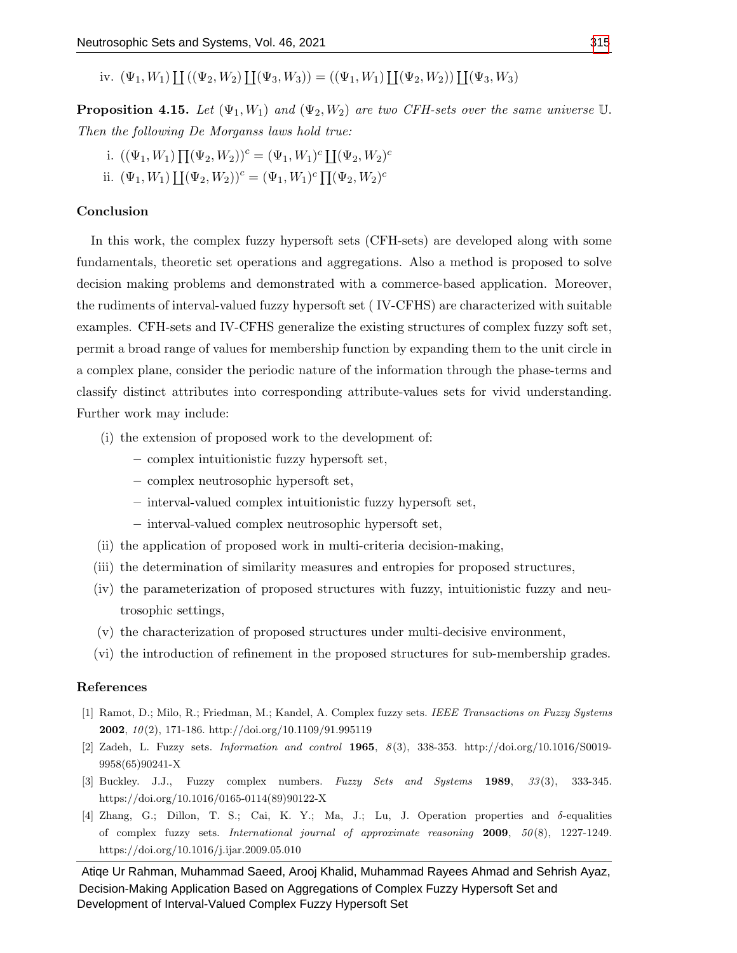iv.  $(\Psi_1, W_1) \coprod ((\Psi_2, W_2) \coprod (\Psi_3, W_3)) = ((\Psi_1, W_1) \coprod (\Psi_2, W_2)) \coprod (\Psi_3, W_3)$ 

**Proposition 4.15.** Let  $(\Psi_1, W_1)$  and  $(\Psi_2, W_2)$  are two CFH-sets over the same universe U. Then the following De Morganss laws hold true:

i. 
$$
((\Psi_1, W_1) \prod (\Psi_2, W_2))^c = (\Psi_1, W_1)^c \prod (\Psi_2, W_2)^c
$$
  
ii.  $(\Psi_1, W_1) \prod (\Psi_2, W_2)^c = (\Psi_1, W_1)^c \prod (\Psi_2, W_2)^c$ 

# Conclusion

In this work, the complex fuzzy hypersoft sets (CFH-sets) are developed along with some fundamentals, theoretic set operations and aggregations. Also a method is proposed to solve decision making problems and demonstrated with a commerce-based application. Moreover, the rudiments of interval-valued fuzzy hypersoft set ( IV-CFHS) are characterized with suitable examples. CFH-sets and IV-CFHS generalize the existing structures of complex fuzzy soft set, permit a broad range of values for membership function by expanding them to the unit circle in a complex plane, consider the periodic nature of the information through the phase-terms and classify distinct attributes into corresponding attribute-values sets for vivid understanding. Further work may include:

- (i) the extension of proposed work to the development of:
	- complex intuitionistic fuzzy hypersoft set,
	- complex neutrosophic hypersoft set,
	- interval-valued complex intuitionistic fuzzy hypersoft set,
	- interval-valued complex neutrosophic hypersoft set,
- (ii) the application of proposed work in multi-criteria decision-making,
- (iii) the determination of similarity measures and entropies for proposed structures,
- (iv) the parameterization of proposed structures with fuzzy, intuitionistic fuzzy and neutrosophic settings,
- (v) the characterization of proposed structures under multi-decisive environment,
- (vi) the introduction of refinement in the proposed structures for sub-membership grades.

# References

- <span id="page-15-0"></span>[1] Ramot, D.; Milo, R.; Friedman, M.; Kandel, A. Complex fuzzy sets. IEEE Transactions on Fuzzy Systems **2002**,  $10(2)$ , 171-186. http://doi.org/10.1109/91.995119
- <span id="page-15-1"></span>[2] Zadeh, L. Fuzzy sets. Information and control 1965, 8 (3), 338-353. http://doi.org/10.1016/S0019- 9958(65)90241-X
- <span id="page-15-2"></span>[3] Buckley. J.J., Fuzzy complex numbers. Fuzzy Sets and Systems  $1989$ ,  $33(3)$ , 333-345. https://doi.org/10.1016/0165-0114(89)90122-X
- <span id="page-15-3"></span>[4] Zhang, G.; Dillon, T. S.; Cai, K. Y.; Ma, J.; Lu, J. Operation properties and  $\delta$ -equalities of complex fuzzy sets. International journal of approximate reasoning  $2009$ ,  $50(8)$ , 1227-1249. https://doi.org/10.1016/j.ijar.2009.05.010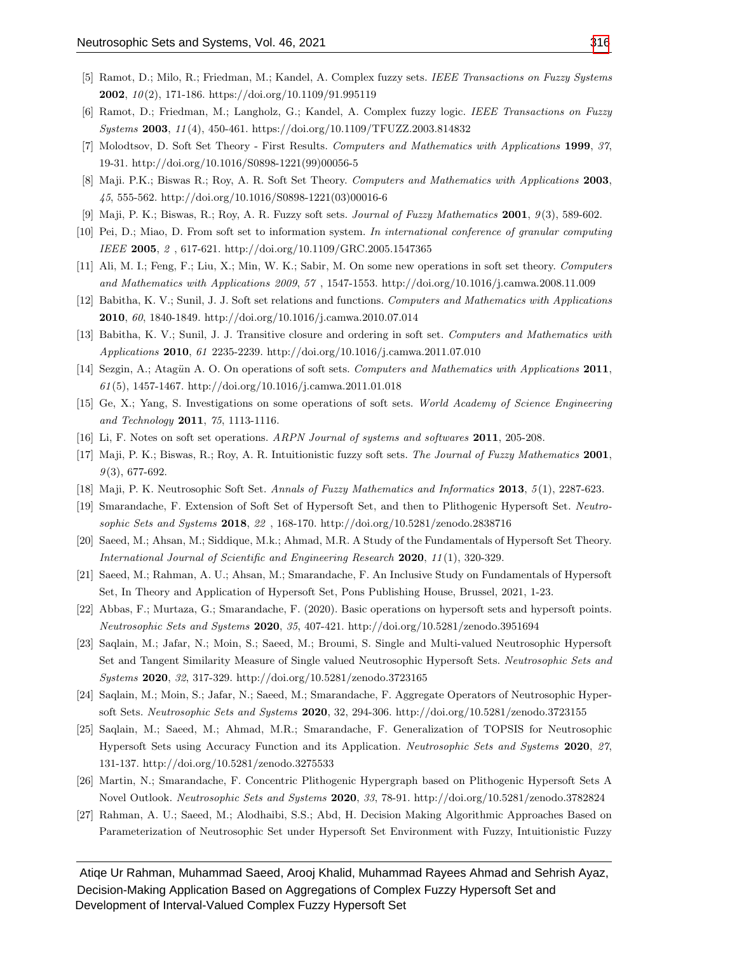- <span id="page-16-9"></span>[5] Ramot, D.; Milo, R.; Friedman, M.; Kandel, A. Complex fuzzy sets. IEEE Transactions on Fuzzy Systems **2002**,  $10(2)$ , 171-186. https://doi.org/10.1109/91.995119
- <span id="page-16-10"></span>[6] Ramot, D.; Friedman, M.; Langholz, G.; Kandel, A. Complex fuzzy logic. IEEE Transactions on Fuzzy Systems 2003, 11 (4), 450-461. https://doi.org/10.1109/TFUZZ.2003.814832
- <span id="page-16-0"></span>[7] Molodtsov, D. Soft Set Theory - First Results. Computers and Mathematics with Applications 1999, 37, 19-31. http://doi.org/10.1016/S0898-1221(99)00056-5
- <span id="page-16-1"></span>[8] Maji. P.K.; Biswas R.; Roy, A. R. Soft Set Theory. Computers and Mathematics with Applications 2003, 45, 555-562. http://doi.org/10.1016/S0898-1221(03)00016-6
- <span id="page-16-11"></span>[9] Maji, P. K.; Biswas, R.; Roy, A. R. Fuzzy soft sets. Journal of Fuzzy Mathematics 2001, 9 (3), 589-602.
- [10] Pei, D.; Miao, D. From soft set to information system. In international conference of granular computing IEEE 2005, 2 , 617-621. http://doi.org/10.1109/GRC.2005.1547365
- [11] Ali, M. I.; Feng, F.; Liu, X.; Min, W. K.; Sabir, M. On some new operations in soft set theory. Computers and Mathematics with Applications 2009, 57 , 1547-1553. http://doi.org/10.1016/j.camwa.2008.11.009
- [12] Babitha, K. V.; Sunil, J. J. Soft set relations and functions. Computers and Mathematics with Applications 2010, 60, 1840-1849. http://doi.org/10.1016/j.camwa.2010.07.014
- [13] Babitha, K. V.; Sunil, J. J. Transitive closure and ordering in soft set. Computers and Mathematics with Applications 2010, 61 2235-2239. http://doi.org/10.1016/j.camwa.2011.07.010
- [14] Sezgin, A.; Atagün A. O. On operations of soft sets. Computers and Mathematics with Applications 2011,  $61(5)$ , 1457-1467. http://doi.org/10.1016/j.camwa.2011.01.018
- [15] Ge, X.; Yang, S. Investigations on some operations of soft sets. World Academy of Science Engineering and Technology 2011, 75, 1113-1116.
- [16] Li, F. Notes on soft set operations. ARPN Journal of systems and softwares 2011, 205-208.
- <span id="page-16-2"></span>[17] Maji, P. K.; Biswas, R.; Roy, A. R. Intuitionistic fuzzy soft sets. The Journal of Fuzzy Mathematics 2001,  $9(3)$ , 677-692.
- <span id="page-16-3"></span>[18] Maji, P. K. Neutrosophic Soft Set. Annals of Fuzzy Mathematics and Informatics 2013, 5 (1), 2287-623.
- <span id="page-16-4"></span>[19] Smarandache, F. Extension of Soft Set of Hypersoft Set, and then to Plithogenic Hypersoft Set. Neutrosophic Sets and Systems 2018, 22 , 168-170. http://doi.org/10.5281/zenodo.2838716
- <span id="page-16-5"></span>[20] Saeed, M.; Ahsan, M.; Siddique, M.k.; Ahmad, M.R. A Study of the Fundamentals of Hypersoft Set Theory. International Journal of Scientific and Engineering Research 2020, 11(1), 320-329.
- [21] Saeed, M.; Rahman, A. U.; Ahsan, M.; Smarandache, F. An Inclusive Study on Fundamentals of Hypersoft Set, In Theory and Application of Hypersoft Set, Pons Publishing House, Brussel, 2021, 1-23.
- <span id="page-16-6"></span>[22] Abbas, F.; Murtaza, G.; Smarandache, F. (2020). Basic operations on hypersoft sets and hypersoft points. Neutrosophic Sets and Systems 2020, 35, 407-421. http://doi.org/10.5281/zenodo.3951694
- <span id="page-16-7"></span>[23] Saqlain, M.; Jafar, N.; Moin, S.; Saeed, M.; Broumi, S. Single and Multi-valued Neutrosophic Hypersoft Set and Tangent Similarity Measure of Single valued Neutrosophic Hypersoft Sets. Neutrosophic Sets and Systems 2020, 32, 317-329. http://doi.org/10.5281/zenodo.3723165
- [24] Saqlain, M.; Moin, S.; Jafar, N.; Saeed, M.; Smarandache, F. Aggregate Operators of Neutrosophic Hypersoft Sets. Neutrosophic Sets and Systems 2020, 32, 294-306. http://doi.org/10.5281/zenodo.3723155
- [25] Saqlain, M.; Saeed, M.; Ahmad, M.R.; Smarandache, F. Generalization of TOPSIS for Neutrosophic Hypersoft Sets using Accuracy Function and its Application. Neutrosophic Sets and Systems 2020, 27, 131-137. http://doi.org/10.5281/zenodo.3275533
- [26] Martin, N.; Smarandache, F. Concentric Plithogenic Hypergraph based on Plithogenic Hypersoft Sets A Novel Outlook. Neutrosophic Sets and Systems 2020, 33, 78-91. http://doi.org/10.5281/zenodo.3782824
- <span id="page-16-8"></span>[27] Rahman, A. U.; Saeed, M.; Alodhaibi, S.S.; Abd, H. Decision Making Algorithmic Approaches Based on Parameterization of Neutrosophic Set under Hypersoft Set Environment with Fuzzy, Intuitionistic Fuzzy